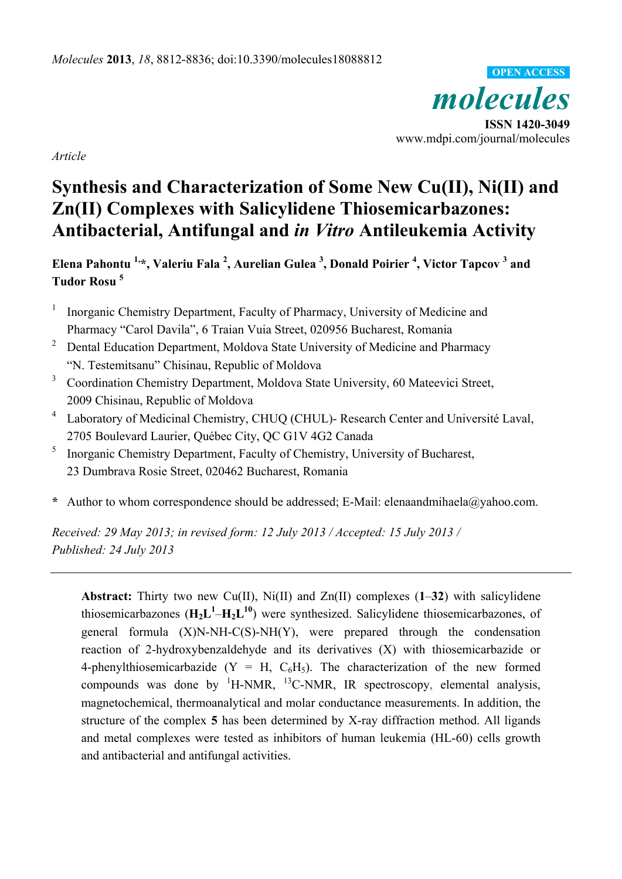*molecules*  **ISSN 1420-3049**  www.mdpi.com/journal/molecules **OPEN ACCESS**

*Article* 

# **Synthesis and Characterization of Some New Cu(II), Ni(II) and Zn(II) Complexes with Salicylidene Thiosemicarbazones: Antibacterial, Antifungal and** *in Vitro* **Antileukemia Activity**

**Elena Pahontu 1,\*, Valeriu Fala 2 , Aurelian Gulea <sup>3</sup> , Donald Poirier 4 , Victor Tapcov 3 and Tudor Rosu 5** 

- <sup>1</sup> Inorganic Chemistry Department, Faculty of Pharmacy, University of Medicine and Pharmacy "Carol Davila", 6 Traian Vuia Street, 020956 Bucharest, Romania
- <sup>2</sup> Dental Education Department, Moldova State University of Medicine and Pharmacy "N. Testemitsanu" Chisinau, Republic of Moldova
- <sup>3</sup> Coordination Chemistry Department, Moldova State University, 60 Mateevici Street, 2009 Chisinau, Republic of Moldova
- 4 Laboratory of Medicinal Chemistry, CHUQ (CHUL)- Research Center and Université Laval, 2705 Boulevard Laurier, Québec City, QC G1V 4G2 Canada
- <sup>5</sup> Inorganic Chemistry Department, Faculty of Chemistry, University of Bucharest, 23 Dumbrava Rosie Street, 020462 Bucharest, Romania
- **\*** Author to whom correspondence should be addressed; E-Mail: elenaandmihaela@yahoo.com.

*Received: 29 May 2013; in revised form: 12 July 2013 / Accepted: 15 July 2013 / Published: 24 July 2013* 

**Abstract:** Thirty two new Cu(II), Ni(II) and Zn(II) complexes (**1**–**32**) with salicylidene thiosemicarbazones  $(\mathbf{H}_2 \mathbf{L}^1 - \mathbf{H}_2 \mathbf{L}^{10})$  were synthesized. Salicylidene thiosemicarbazones, of general formula (X)N-NH-C(S)-NH(Y), were prepared through the condensation reaction of 2-hydroxybenzaldehyde and its derivatives (X) with thiosemicarbazide or 4-phenylthiosemicarbazide (Y = H,  $C_6H_5$ ). The characterization of the new formed compounds was done by  ${}^{1}$ H-NMR,  ${}^{13}$ C-NMR, IR spectroscopy, elemental analysis, magnetochemical, thermoanalytical and molar conductance measurements. In addition, the structure of the complex **5** has been determined by X-ray diffraction method. All ligands and metal complexes were tested as inhibitors of human leukemia (HL-60) cells growth and antibacterial and antifungal activities.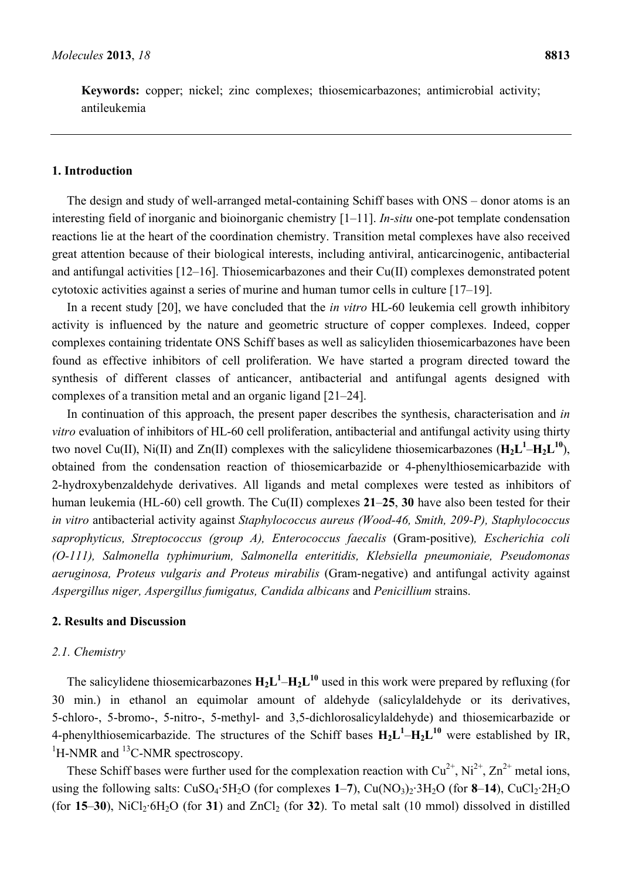**Keywords:** copper; nickel; zinc complexes; thiosemicarbazones; antimicrobial activity; antileukemia

#### **1. Introduction**

The design and study of well-arranged metal-containing Schiff bases with ONS – donor atoms is an interesting field of inorganic and bioinorganic chemistry [1–11]. *In-situ* one-pot template condensation reactions lie at the heart of the coordination chemistry. Transition metal complexes have also received great attention because of their biological interests, including antiviral, anticarcinogenic, antibacterial and antifungal activities [12–16]. Thiosemicarbazones and their Cu(II) complexes demonstrated potent cytotoxic activities against a series of murine and human tumor cells in culture [17–19].

In a recent study [20], we have concluded that the *in vitro* HL-60 leukemia cell growth inhibitory activity is influenced by the nature and geometric structure of copper complexes. Indeed, copper complexes containing tridentate ONS Schiff bases as well as salicyliden thiosemicarbazones have been found as effective inhibitors of cell proliferation. We have started a program directed toward the synthesis of different classes of anticancer, antibacterial and antifungal agents designed with complexes of a transition metal and an organic ligand [21–24].

In continuation of this approach, the present paper describes the synthesis, characterisation and *in vitro* evaluation of inhibitors of HL-60 cell proliferation, antibacterial and antifungal activity using thirty two novel Cu(II), Ni(II) and Zn(II) complexes with the salicylidene thiosemicarbazones  $(H_2L^1-H_2L^{10})$ , obtained from the condensation reaction of thiosemicarbazide or 4-phenylthiosemicarbazide with 2-hydroxybenzaldehyde derivatives. All ligands and metal complexes were tested as inhibitors of human leukemia (HL-60) cell growth. The Cu(II) complexes **21**–**25**, **30** have also been tested for their *in vitro* antibacterial activity against *Staphylococcus aureus (Wood-46, Smith, 209-P), Staphylococcus saprophyticus, Streptococcus (group A), Enterococcus faecalis* (Gram-positive)*, Escherichia coli (O-111), Salmonella typhimurium, Salmonella enteritidis, Klebsiella pneumoniaie, Pseudomonas aeruginosa, Proteus vulgaris and Proteus mirabilis* (Gram-negative) and antifungal activity against *Aspergillus niger, Aspergillus fumigatus, Candida albicans* and *Penicillium* strains.

#### **2. Results and Discussion**

#### *2.1. Chemistry*

The salicylidene thiosemicarbazones  $H_2L^1 - H_2L^{10}$  used in this work were prepared by refluxing (for 30 min.) in ethanol an equimolar amount of aldehyde (salicylaldehyde or its derivatives, 5-chloro-, 5-bromo-, 5-nitro-, 5-methyl- and 3,5-dichlorosalicylaldehyde) and thiosemicarbazide or 4-phenylthiosemicarbazide. The structures of the Schiff bases  $H_2L^1-H_2L^{10}$  were established by IR,  ${}^{1}$ H-NMR and  ${}^{13}$ C-NMR spectroscopy.

These Schiff bases were further used for the complexation reaction with  $Cu^{2+}$ , Ni<sup>2+</sup>, Zn<sup>2+</sup> metal ions. using the following salts:  $CuSO_4·5H_2O$  (for complexes  $1-7$ ),  $Cu(NO_3)_2·3H_2O$  (for  $8-14$ ),  $CuCl_2·2H_2O$ (for  $15-30$ ), NiCl<sub>2</sub>·6H<sub>2</sub>O (for 31) and ZnCl<sub>2</sub> (for 32). To metal salt (10 mmol) dissolved in distilled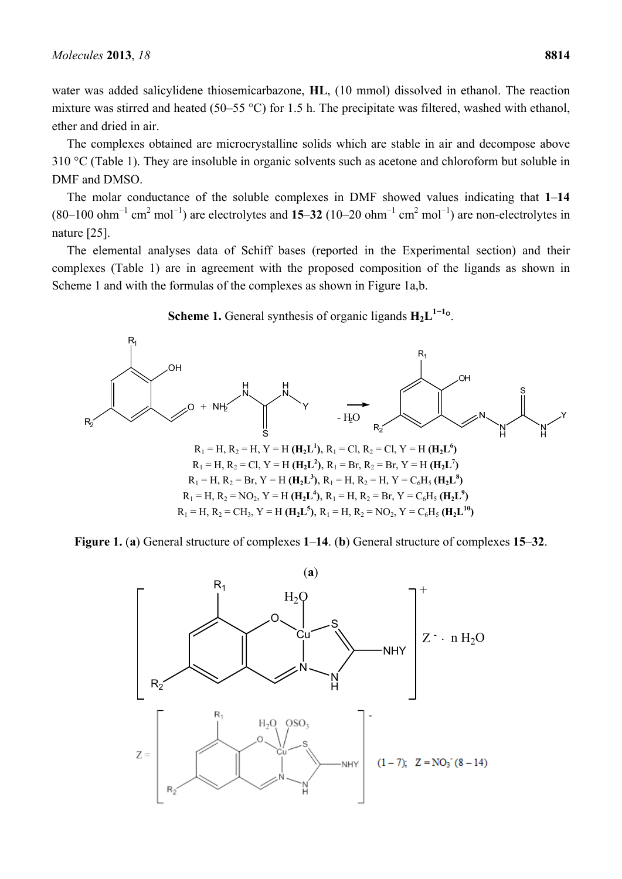water was added salicylidene thiosemicarbazone, **HL**, (10 mmol) dissolved in ethanol. The reaction mixture was stirred and heated (50–55 °C) for 1.5 h. The precipitate was filtered, washed with ethanol, ether and dried in air.

The complexes obtained are microcrystalline solids which are stable in air and decompose above 310 °C (Table 1). They are insoluble in organic solvents such as acetone and chloroform but soluble in DMF and DMSO.

The molar conductance of the soluble complexes in DMF showed values indicating that **1**–**14**  $(80-100 \text{ ohm}^{-1} \text{ cm}^2 \text{ mol}^{-1})$  are electrolytes and 15–32 (10–20  $\text{ohm}^{-1} \text{ cm}^2 \text{ mol}^{-1}$ ) are non-electrolytes in nature [25].

The elemental analyses data of Schiff bases (reported in the Experimental section) and their complexes (Table 1) are in agreement with the proposed composition of the ligands as shown in Scheme 1 and with the formulas of the complexes as shown in Figure 1a,b.



**Scheme 1.** General synthesis of organic ligands **H2L1−<sup>1</sup> °**.

**Figure 1.** (**a**) General structure of complexes **1**–**14**. (**b**) General structure of complexes **15**–**32**.

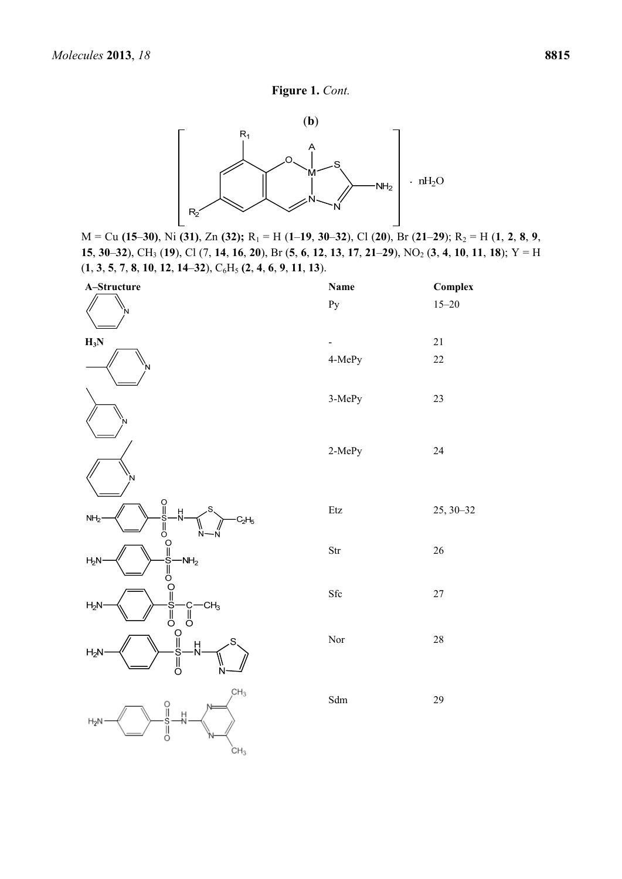# **Figure 1.** *Cont.*



M = Cu **(15**–**30)**, Ni **(31)**, Zn **(32);** R1 = H (**1**–**19**, **30**–**32**), Cl (**20**), Br (**21**–**29**); R2 = H (**1**, **2**, **8**, **9**, 15, 30–32), CH<sub>3</sub> (19), Cl (7, 14, 16, 20), Br (5, 6, 12, 13, 17, 21–29), NO<sub>2</sub> (3, 4, 10, 11, 18); Y = H (**1**, **3**, **5**, **7**, **8**, **10**, **12**, **14**–**32**), C6H5 **(2**, **4**, **6**, **9**, **11**, **13**).

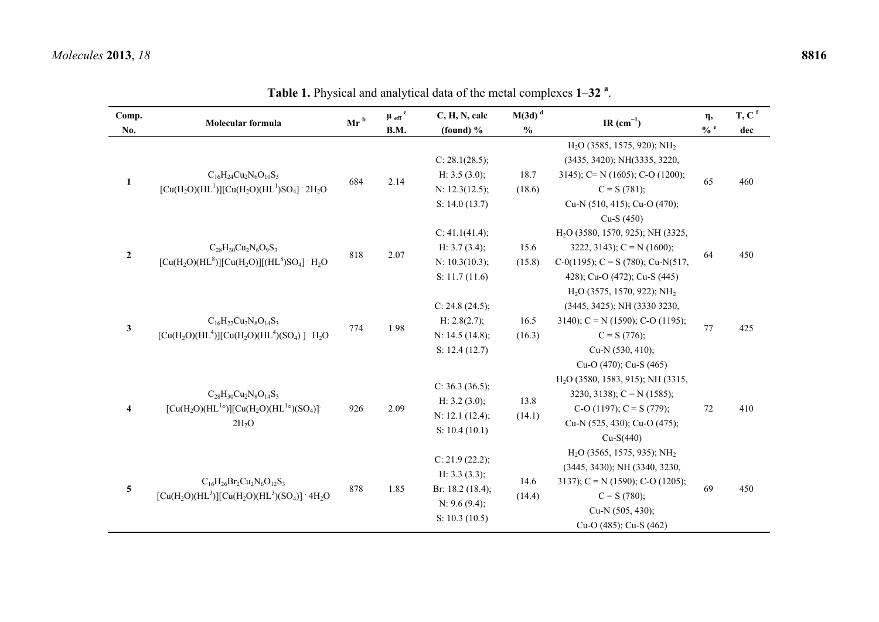| Comp.<br>No.            | Molecular formula                                                                           | $M(3d)$ <sup>d</sup><br>$\mu$ eff <sup>c</sup><br>C, H, N, calc<br>$Mr^b$<br>$\frac{0}{0}$<br>B.M.<br>(found) $%$ |      | IR $(cm^{-1})$                                                                           | $\eta$ ,<br>$\frac{6}{6}$ e | $T, C$ <sup>f</sup><br>dec                                                                                                                                                          |    |     |
|-------------------------|---------------------------------------------------------------------------------------------|-------------------------------------------------------------------------------------------------------------------|------|------------------------------------------------------------------------------------------|-----------------------------|-------------------------------------------------------------------------------------------------------------------------------------------------------------------------------------|----|-----|
| $\mathbf{1}$            | $C_{16}H_{24}Cu_2N_6O_{10}S_3$<br>$[Cu(H2O)(HL1)][Cu(H2O)(HL1)SO4]$ 2H <sub>2</sub> O       | 684                                                                                                               | 2.14 | C: 28.1(28.5);<br>H: $3.5(3.0)$ ;<br>N: 12.3(12.5);<br>S: $14.0(13.7)$                   | 18.7<br>(18.6)              | $H2O$ (3585, 1575, 920); NH <sub>2</sub><br>(3435, 3420); NH(3335, 3220,<br>3145); C= N (1605); C-O (1200);<br>$C = S(781);$<br>Cu-N (510, 415); Cu-O (470);<br>Cu-S (450)          | 65 | 460 |
| $\boldsymbol{2}$        | $C_{28}H_{30}Cu_2N_6O_9S_3$<br>$[Cu(H2O)(HL8)][Cu(H2O)][(HL8)SO4]$ $H2O$                    | 818                                                                                                               | 2.07 | C: 41.1(41.4);<br>H: $3.7(3.4)$ ;<br>N: 10.3(10.3);<br>S: 11.7(11.6)                     | 15.6<br>(15.8)              | H <sub>2</sub> O (3580, 1570, 925); NH (3325,<br>3222, 3143); $C = N (1600)$ ;<br>C-0(1195); C = S (780); Cu-N(517,<br>428); Cu-O (472); Cu-S (445)                                 | 64 | 450 |
| $\mathbf{3}$            | $C_{16}H_{22}Cu_2N_8O_{14}S_3$<br>$[Cu(H2O)(HL4)][Cu(H2O)(HL4)(SO4)]$ $H2O$                 | 774                                                                                                               | 1.98 | C: $24.8(24.5)$ ;<br>H: 2.8(2.7);<br>N: 14.5 (14.8);<br>S: 12.4(12.7)                    | 16.5<br>(16.3)              | $H2O$ (3575, 1570, 922); NH <sub>2</sub><br>(3445, 3425); NH (3330 3230,<br>3140); $C = N(1590)$ ; C-O (1195);<br>$C = S(776);$<br>Cu-N (530, 410);                                 | 77 | 425 |
| $\overline{\bf{4}}$     | $C_{28}H_{30}Cu_2N_8O_{14}S_3$<br>$[Cu(H2O)(HL1°)][Cu(H2O)(HL1°)(SO4)]$<br>$2H_2O$          | 926                                                                                                               | 2.09 | C: $36.3(36.5)$ ;<br>H: $3.2$ (3.0);<br>N: 12.1 (12.4);<br>S: 10.4(10.1)                 | 13.8<br>(14.1)              | Cu-O (470); Cu-S (465)<br>H <sub>2</sub> O (3580, 1583, 915); NH (3315,<br>3230, 3138); $C = N(1585)$ ;<br>C-O (1197); C = S (779);<br>Cu-N (525, 430); Cu-O (475);<br>$Cu-S(440)$  | 72 | 410 |
| $\overline{\mathbf{5}}$ | $C_{16}H_{26}Br_2Cu_2N_6O_{12}S_3$<br>$[Cu(H2O)(HL3)][Cu(H2O)(HL3)(SO4)]$ 4H <sub>2</sub> O | 878                                                                                                               | 1.85 | C: 21.9 (22.2);<br>H: $3.3(3.3)$ ;<br>Br: 18.2 (18.4);<br>N: 9.6 (9.4);<br>S: 10.3(10.5) | 14.6<br>(14.4)              | $H2O$ (3565, 1575, 935); NH <sub>2</sub><br>(3445, 3430); NH (3340, 3230,<br>3137); $C = N(1590)$ ; $C-O(1205)$ ;<br>$C = S(780);$<br>Cu-N $(505, 430)$ ;<br>Cu-O (485); Cu-S (462) | 69 | 450 |

**Table 1.** Physical and analytical data of the metal complexes **1**–**<sup>32</sup> <sup>a</sup>**.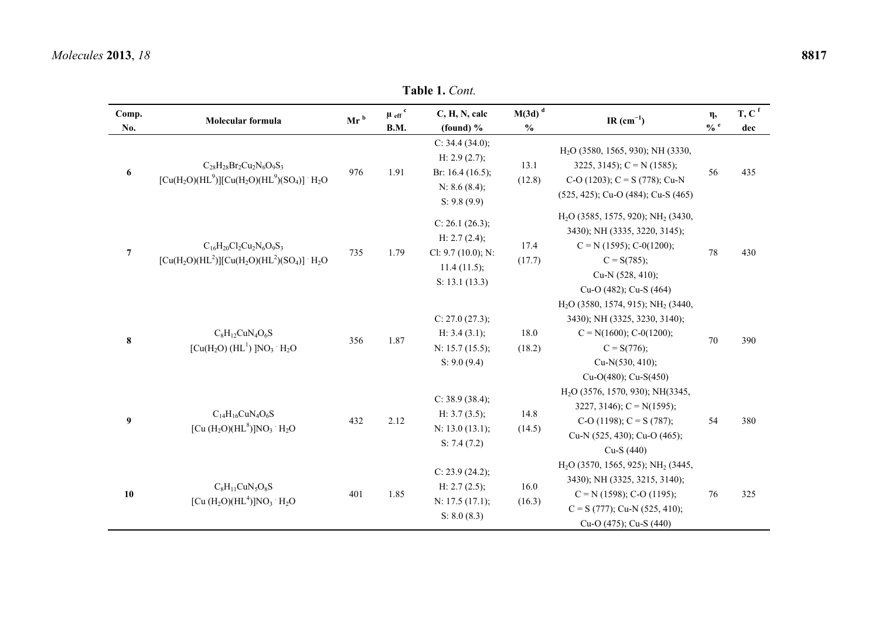**Table 1.** *Cont.* 

| Comp.<br>No.     | Molecular formula                                                                         | $Mr^b$ | $\mu$ eff <sup>c</sup><br>B.M. | C, H, N, calc<br>(found) $%$                                                             | $M(3d)$ <sup>d</sup><br>$\frac{0}{0}$ | IR $(cm^{-1})$                                                                                                                                                                  | $\eta$ ,<br>$\mathbf{0}/\mathbf{0}$ e | $T, C$ <sup>f</sup><br>dec |
|------------------|-------------------------------------------------------------------------------------------|--------|--------------------------------|------------------------------------------------------------------------------------------|---------------------------------------|---------------------------------------------------------------------------------------------------------------------------------------------------------------------------------|---------------------------------------|----------------------------|
| 6                | $C_{28}H_{28}Br_2Cu_2N_6O_9S_3$<br>$[Cu(H2O)(HL9)][Cu(H2O)(HL9)(SO4)]$ · H <sub>2</sub> O | 976    | 1.91                           | C: 34.4 (34.0);<br>H: $2.9(2.7)$ ;<br>Br: $16.4(16.5)$ ;<br>N: 8.6 (8.4);<br>S: 9.8(9.9) | 13.1<br>(12.8)                        | $H2O$ (3580, 1565, 930); NH (3330,<br>3225, 3145); $C = N$ (1585);<br>C-O (1203); C = S (778); Cu-N<br>(525, 425); Cu-O (484); Cu-S (465)                                       | 56                                    | 435                        |
| $\overline{7}$   | $C_{16}H_{20}Cl_2Cu_2N_6O_9S_3$<br>$[Cu(H2O)(HL2)][Cu(H2O)(HL2)(SO4)]$ $H2O$              | 735    | 1.79                           | C: 26.1 (26.3);<br>H: 2.7 (2.4);<br>Cl: $9.7(10.0)$ ; N:<br>11.4(11.5);<br>S: 13.1(13.3) | 17.4<br>(17.7)                        | $H2O$ (3585, 1575, 920); NH <sub>2</sub> (3430,<br>3430); NH (3335, 3220, 3145);<br>$C = N(1595); C-0(1200);$<br>$C = S(785);$<br>Cu-N (528, 410);<br>Cu-O (482); Cu-S (464)    | 78                                    | 430                        |
| $\bf 8$          | $C_8H_{12}CuN_4O_6S$<br>$\lceil Cu(H_2O) (HL^1) \rceil NO_3 \rceil H_2O$                  | 356    | 1.87                           | C: 27.0 (27.3);<br>H: 3.4 (3.1);<br>N: 15.7 (15.5);<br>S: 9.0(9.4)                       | 18.0<br>(18.2)                        | $H2O$ (3580, 1574, 915); NH <sub>2</sub> (3440,<br>3430); NH (3325, 3230, 3140);<br>$C = N(1600); C - 0(1200);$<br>$C = S(776);$<br>Cu-N $(530, 410)$ ;<br>Cu-O(480); Cu-S(450) | 70                                    | 390                        |
| $\boldsymbol{9}$ | $C_{14}H_{16}CuN_4O_6S$<br>[Cu $(H_2O)(HL^8)$ ]NO <sub>3</sub> $H_2O$                     | 432    | 2.12                           | C: 38.9 (38.4);<br>H: $3.7(3.5)$ ;<br>N: 13.0 (13.1);<br>S: 7.4(7.2)                     | 14.8<br>(14.5)                        | H <sub>2</sub> O (3576, 1570, 930); NH(3345,<br>3227, 3146); $C = N(1595)$ ;<br>C-O (1198); C = S (787);<br>Cu-N (525, 430); Cu-O (465);<br>$Cu-S(440)$                         | 54                                    | 380                        |
| 10               | $C_8H_{11}CuN_5O_8S$<br>[Cu (H <sub>2</sub> O)(HL <sup>4</sup> )]NO <sub>3</sub> $H_2O$   | 401    | 1.85                           | C: 23.9 (24.2);<br>H: $2.7(2.5)$ ;<br>N: 17.5 (17.1);<br>S: 8.0(8.3)                     | 16.0<br>(16.3)                        | $H2O$ (3570, 1565, 925); NH <sub>2</sub> (3445,<br>3430); NH (3325, 3215, 3140);<br>$C = N(1598); C-O(1195);$<br>$C = S(777)$ ; Cu-N (525, 410);<br>Cu-O (475); Cu-S (440)      | 76                                    | 325                        |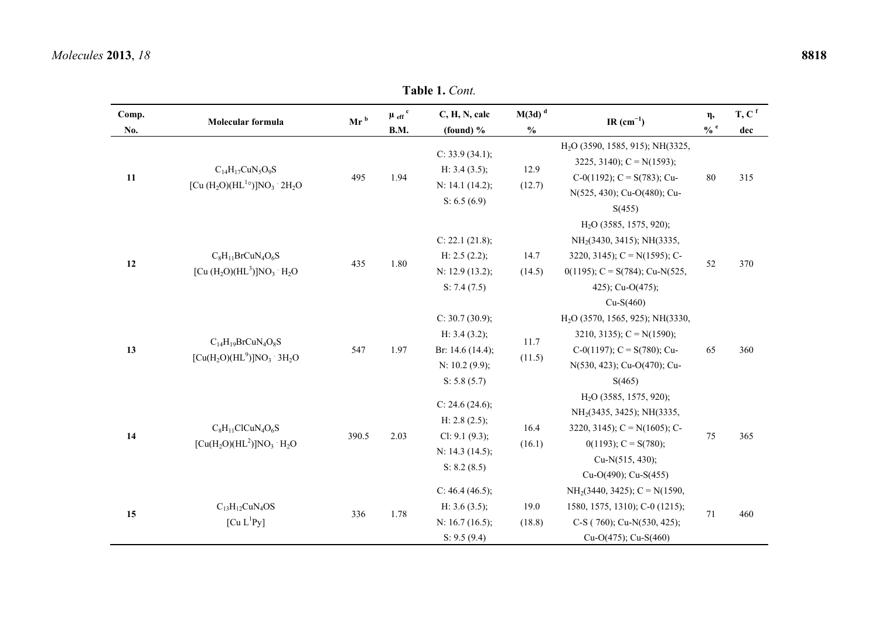#### **Table 1.** *Cont.*  **Comp. No. Molecular formula** Mr <sup>b</sup>  $\mu$  eff<sup>c</sup> **B.M. C, H, N, calc (found) % M(3d) <sup>d</sup> % IR (cm<sup>−</sup>1) <sup>η</sup>, % e T, C <sup>f</sup> dec**dec **11**   $C_{14}H_{17}CuN_5O_9S$  $\left[\text{Cu (H<sub>2</sub>O)(HL<sup>1</sup>°) \right]NO<sub>3</sub> 2H<sub>2</sub>O$  495 1.94 C: 33.9 (34.1); H: 3.4 (3.5); N: 14.1 (14.2); S: 6.5 (6.9) 12.9 (12.7) H2O (3590, 1585, 915); NH(3325, 3225, 3140);  $C = N(1593)$ ; C-0(1192);  $C = S(783)$ ; Cu-N(525, 430); Cu-O(480); Cu-; C = S(783); Cu- 80 315<br>); Cu-O(480); Cu-<br>S(455) **12**   $C_8H_{11}BrCuN_4O_6S$  $[Cu (H<sub>2</sub>O)(HL<sup>3</sup>)]NO<sub>3</sub> H<sub>2</sub>O$  435 1.80 C: 22.1 (21.8); H:  $2.5(2.2)$ ; N: 12.9 (13.2); S: 7.4 (7.5) 14.7  $(14.5)$ H2O (3585, 1575, 920); NH<sub>2</sub>(3430, 3415); NH(3335, 3220, 3145);  $C = N(1595)$ ; C-0(1195); C = S(784); Cu-N(525, 425); Cu-O(475); Cu-S(460) 52 370 **13**   $C_{14}H_{19}BrCuN_4O_8S$  $[Cu(H_2O)(HL^9)]NO_3$  3H<sub>2</sub>O 547 1.97 C: 30.7 (30.9); H: 3.4 (3.2); Br: 14.6 (14.4); N: 10.2 (9.9); S: 5.8 (5.7) 11.7 (11.5) H2O (3570, 1565, 925); NH(3330, 3210, 3135); C = N(1590); C-0(1197);  $C = S(780)$ ; Cu-N(530, 423); Cu-O(470); Cu-S(465) 65 360 **14**   $C_8H_{11}CICuN_4O_6S$  $[Cu(H<sub>2</sub>O)(HL<sup>2</sup>)]NO<sub>3</sub> H<sub>2</sub>O$  390.5 2.03 C:  $24.6(24.6)$ ; H: 2.8 (2.5); Cl: 9.1 (9.3); N: 14.3 (14.5); S: 8.2 (8.5) 16.4 (16.1) H2O (3585, 1575, 920); NH2(3435, 3425); NH(3335, 3220, 3145); C =  $N(1605)$ ; C-0(1193);  $C = S(780)$ ; Cu-N(515, 430); Cu-O(490); Cu-S(455) 75 365 **15**   $C_{13}H_{12}CuN_4OS$  $\begin{bmatrix} \text{Cu L}^1 \text{Py} \end{bmatrix}$  336 1.78 C:  $46.4(46.5)$ ; H: 3.6 (3.5); N: 16.7 (16.5); S: 9.5 (9.4) 19.0 (18.8)  $NH<sub>2</sub>(3440, 3425)$ ; C = N(1590, 1580, 1575, 1310); C-0 (1215); C-S ( 760); Cu-N(530, 425); Cu-O(475); Cu-S(460) 71 460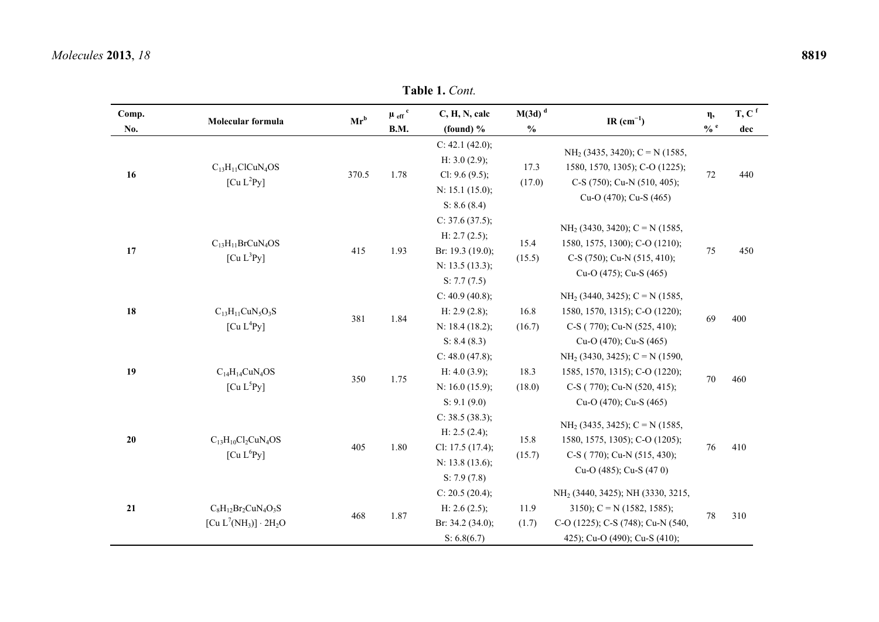#### **Table 1.** *Cont.*

| Comp.<br>No. | Molecular formula                                                                            | $Mr^b$ | $\mu$ $_{\rm eff}$ $^{\rm c}$<br>B.M. | C, H, N, calc<br>(found) $%$                                                                 | $M(3d)$ <sup>d</sup><br>$\frac{0}{0}$ | IR $(cm^{-1})$                                                                                                                                      | $\eta$ ,<br>$\ensuremath{\mathsf{0}}/\ensuremath{\mathsf{0}}$ e | $T, C$ <sup>f</sup><br>dec |
|--------------|----------------------------------------------------------------------------------------------|--------|---------------------------------------|----------------------------------------------------------------------------------------------|---------------------------------------|-----------------------------------------------------------------------------------------------------------------------------------------------------|-----------------------------------------------------------------|----------------------------|
| 16           | $C_{13}H_{11}ClCuN_4OS$<br>[Cu L <sup>2</sup> Py]                                            | 370.5  | 1.78                                  | C: $42.1$ (42.0);<br>H: $3.0(2.9)$ ;<br>Cl: $9.6(9.5)$ ;<br>N: 15.1 (15.0);<br>S: 8.6(8.4)   | 17.3<br>(17.0)                        | $NH2$ (3435, 3420); C = N (1585,<br>1580, 1570, 1305); C-O (1225);<br>C-S (750); Cu-N (510, 405);<br>Cu-O (470); Cu-S (465)                         | $72\,$                                                          | 440                        |
| 17           | $C_{13}H_{11}BrCuN_4OS$<br>[Cu L <sup>3</sup> Py]                                            | 415    | 1.93                                  | C: $37.6(37.5)$ ;<br>H: $2.7(2.5)$ ;<br>Br: 19.3 (19.0);<br>N: 13.5 (13.3);<br>S: 7.7(7.5)   | 15.4<br>(15.5)                        | $NH2$ (3430, 3420); C = N (1585,<br>1580, 1575, 1300); C-O (1210);<br>C-S (750); Cu-N (515, 410);<br>Cu-O (475); Cu-S (465)                         | 75                                                              | 450                        |
| 18           | $C_{13}H_{11}CuN_5O_3S$<br>[Cu L <sup>4</sup> Py]                                            | 381    | 1.84                                  | C: $40.9(40.8)$ ;<br>H: $2.9(2.8)$ ;<br>N: 18.4 (18.2);<br>S: 8.4(8.3)                       | 16.8<br>(16.7)                        | $NH2$ (3440, 3425); C = N (1585,<br>1580, 1570, 1315); C-O (1220);<br>C-S (770); Cu-N (525, 410);<br>Cu-O (470); Cu-S (465)                         | 69                                                              | 400                        |
| 19           | $C_{14}H_{14}CuN_4OS$<br>[Cu L <sup>5</sup> Py]                                              | 350    | 1.75                                  | C: $48.0(47.8)$ ;<br>H: $4.0(3.9)$ ;<br>N: 16.0 (15.9);<br>S: 9.1(9.0)                       | 18.3<br>(18.0)                        | $NH2$ (3430, 3425); C = N (1590,<br>1585, 1570, 1315); C-O (1220);<br>C-S (770); Cu-N (520, 415);<br>Cu-O (470); Cu-S (465)                         | $70\,$                                                          | 460                        |
| 20           | $C_{13}H_{10}Cl_2CuN_4OS$<br>[Cu L <sup>6</sup> Py]                                          | 405    | 1.80                                  | C: $38.5(38.3)$ ;<br>H: $2.5(2.4)$ ;<br>Cl: $17.5(17.4)$ ;<br>N: 13.8 (13.6);<br>S: 7.9(7.8) | 15.8<br>(15.7)                        | $NH2$ (3435, 3425); C = N (1585,<br>1580, 1575, 1305); C-O (1205);<br>C-S (770); Cu-N (515, 430);<br>Cu-O (485); Cu-S (470)                         | 76                                                              | 410                        |
| 21           | $C_8H_{12}Br_2CuN_4O_3S$<br>[Cu L <sup>7</sup> (NH <sub>3</sub> )] $\cdot$ 2H <sub>2</sub> O | 468    | 1.87                                  | C: $20.5(20.4)$ ;<br>H: $2.6(2.5)$ ;<br>Br: 34.2 (34.0);<br>S: 6.8(6.7)                      | 11.9<br>(1.7)                         | NH <sub>2</sub> (3440, 3425); NH (3330, 3215,<br>3150); $C = N$ (1582, 1585);<br>C-O (1225); C-S (748); Cu-N (540,<br>425); Cu-O (490); Cu-S (410); | 78                                                              | 310                        |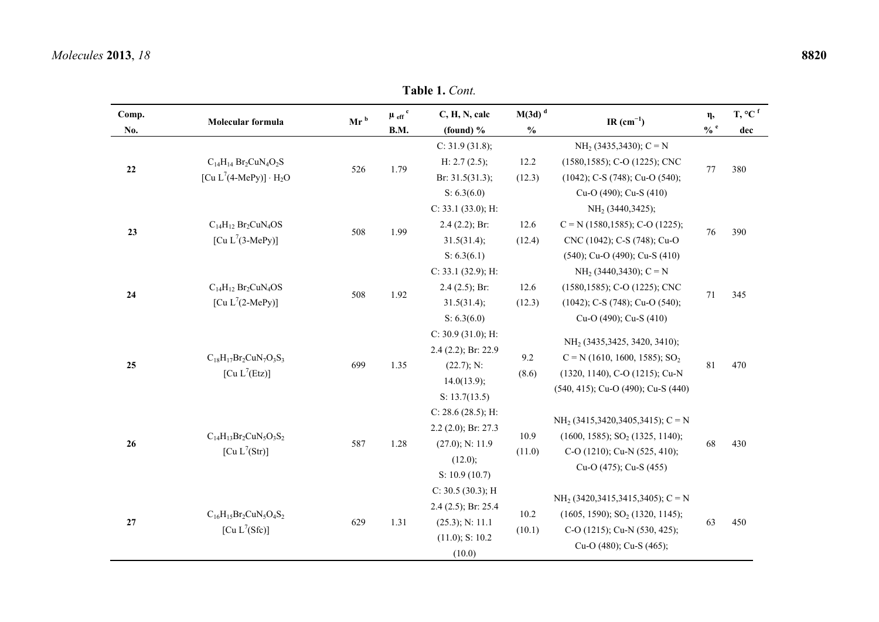|              | <b>Table 1. Cont.</b>                                      |                 |                                |                                     |                                       |                                                                                                      |                            |                                      |  |  |  |  |  |  |
|--------------|------------------------------------------------------------|-----------------|--------------------------------|-------------------------------------|---------------------------------------|------------------------------------------------------------------------------------------------------|----------------------------|--------------------------------------|--|--|--|--|--|--|
| Comp.<br>No. | Molecular formula                                          | Mr <sup>b</sup> | $\mu$ eff <sup>c</sup><br>B.M. | C, H, N, calc<br>(found) $%$        | $M(3d)$ <sup>d</sup><br>$\frac{0}{0}$ | IR $(cm^{-1})$                                                                                       | $\eta,$<br>$\frac{6}{6}$ e | $T, {}^{\circ}C$ <sup>f</sup><br>dec |  |  |  |  |  |  |
|              | $C_{14}H_{14}Br_2CuN_4O_2S$<br>$[Cu L7(4-MePy)] \cdot H2O$ |                 | 1.79                           | C: 31.9 (31.8);                     |                                       | $NH2$ (3435,3430); C = N                                                                             |                            |                                      |  |  |  |  |  |  |
| $22\,$       |                                                            | 526             |                                | H: 2.7 (2.5);<br>Br: $31.5(31.3)$ ; | 12.2<br>(12.3)                        | (1580, 1585); C-O (1225); CNC<br>$(1042)$ ; C-S $(748)$ ; Cu-O $(540)$ ;                             | 77                         | 380                                  |  |  |  |  |  |  |
|              |                                                            |                 |                                | S: $6.3(6.0)$                       |                                       | Cu-O (490); Cu-S (410)                                                                               |                            |                                      |  |  |  |  |  |  |
|              |                                                            |                 |                                | C: 33.1 (33.0); H:                  |                                       | NH <sub>2</sub> (3440,3425);                                                                         |                            |                                      |  |  |  |  |  |  |
| 23           | $C_{14}H_{12} Br_2CuN_4OS$                                 | 508             | 1.99                           | $2.4(2.2)$ ; Br:                    | 12.6                                  | $C = N$ (1580,1585); C-O (1225);                                                                     | 76                         | 390                                  |  |  |  |  |  |  |
|              | [Cu $L^7$ (3-MePy)]                                        |                 |                                | 31.5(31.4);                         | (12.4)                                | CNC (1042); C-S (748); Cu-O                                                                          |                            |                                      |  |  |  |  |  |  |
|              |                                                            |                 |                                | S: 6.3(6.1)                         |                                       | $(540)$ ; Cu-O $(490)$ ; Cu-S $(410)$                                                                |                            |                                      |  |  |  |  |  |  |
|              |                                                            |                 |                                | C: 33.1 (32.9); H:                  |                                       | $NH2$ (3440,3430); C = N                                                                             |                            |                                      |  |  |  |  |  |  |
| 24           | $C_{14}H_{12}Br_2CuN_4OS$                                  | 508             | 1.92                           | $2.4(2.5)$ ; Br:                    | 12.6                                  | (1580, 1585); C-O (1225); CNC                                                                        | 71                         | 345                                  |  |  |  |  |  |  |
|              | [Cu $L^7$ (2-MePy)]                                        |                 |                                | 31.5(31.4);                         | (12.3)                                | (1042); C-S (748); Cu-O (540);                                                                       |                            |                                      |  |  |  |  |  |  |
|              |                                                            |                 |                                | S: 6.3(6.0)                         |                                       | Cu-O (490); Cu-S (410)                                                                               |                            |                                      |  |  |  |  |  |  |
|              |                                                            | 699             | 1.35                           | C: $30.9(31.0)$ ; H:                |                                       | NH <sub>2</sub> (3435, 3425, 3420, 3410);                                                            |                            |                                      |  |  |  |  |  |  |
|              | $C_{18}H_{17}Br_2CuN_7O_3S_3$                              |                 |                                | $2.4$ (2.2); Br: 22.9               | 9.2<br>(8.6)                          | $C = N (1610, 1600, 1585); SO2$                                                                      |                            |                                      |  |  |  |  |  |  |
| 25           | [Cu L <sup>7</sup> (Etz)]                                  |                 |                                | (22.7); N:                          |                                       | (1320, 1140), C-O (1215); Cu-N                                                                       | 81                         | 470                                  |  |  |  |  |  |  |
|              |                                                            |                 |                                | 14.0(13.9);                         |                                       | (540, 415); Cu-O (490); Cu-S (440)                                                                   |                            |                                      |  |  |  |  |  |  |
|              |                                                            |                 |                                | S: 13.7(13.5)                       |                                       |                                                                                                      |                            |                                      |  |  |  |  |  |  |
|              |                                                            |                 |                                | C: $28.6(28.5)$ ; H:                |                                       | $NH2$ (3415,3420,3405,3415); C = N                                                                   |                            |                                      |  |  |  |  |  |  |
|              | $C_{14}H_{13}Br_2CuN_5O_3S_2$                              |                 |                                | 2.2 (2.0); Br: 27.3                 | 10.9                                  | $(1600, 1585); SO2 (1325, 1140);$                                                                    |                            |                                      |  |  |  |  |  |  |
| 26           | [Cu L <sup>7</sup> (Str)]                                  | 587             | 1.28                           | $(27.0)$ ; N: 11.9                  | (11.0)                                | C-O (1210); Cu-N (525, 410);                                                                         | 68                         | 430                                  |  |  |  |  |  |  |
|              |                                                            |                 |                                | (12.0);                             |                                       | Cu-O (475); Cu-S (455)                                                                               |                            |                                      |  |  |  |  |  |  |
|              |                                                            |                 |                                | S: $10.9(10.7)$                     |                                       |                                                                                                      |                            |                                      |  |  |  |  |  |  |
|              |                                                            |                 |                                | C: $30.5(30.3)$ ; H                 |                                       | $NH2$ (3420,3415,3415,3405); C = N                                                                   |                            |                                      |  |  |  |  |  |  |
|              | $C_{16}H_{15}Br_2CuN_5O_4S_2$                              |                 |                                | 2.4 (2.5); Br: 25.4                 |                                       |                                                                                                      | 63                         |                                      |  |  |  |  |  |  |
| 27           |                                                            | 629             | 1.31                           | $(25.3)$ ; N: 11.1                  | (10.1)                                | 10.2<br>$(1605, 1590); SO2 (1320, 1145);$<br>C-O (1215); Cu-N (530, 425);<br>Cu-O (480); Cu-S (465); |                            | 450                                  |  |  |  |  |  |  |
|              | [Cu $L^7(Sfc)$ ]                                           |                 |                                | $(11.0)$ ; S: 10.2                  |                                       |                                                                                                      |                            |                                      |  |  |  |  |  |  |
|              |                                                            |                 |                                | (10.0)                              |                                       |                                                                                                      |                            |                                      |  |  |  |  |  |  |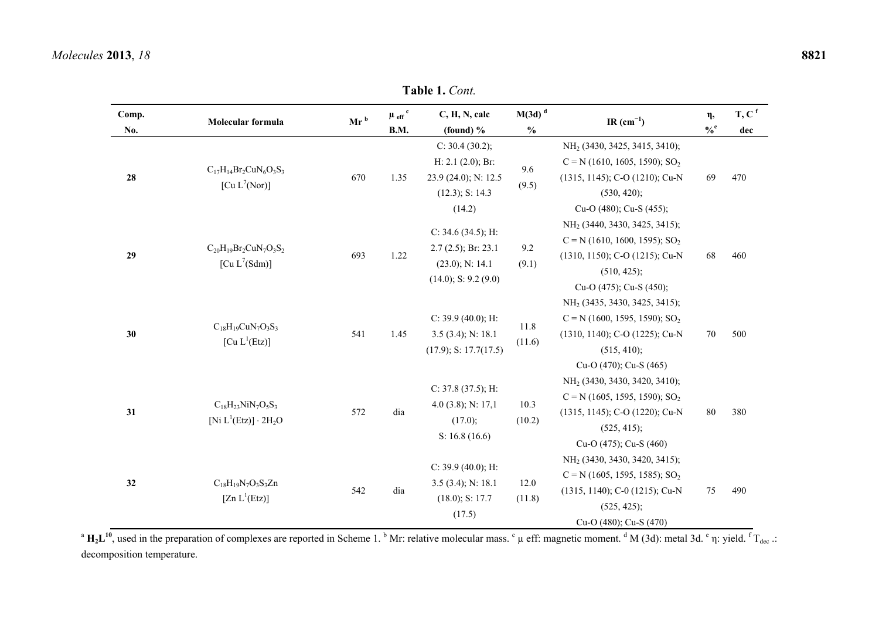|              | <b>Table 1. Cont.</b>                                                   |        |                                       |                                                                                                |                                       |                                                                                                                                                          |                             |                            |  |  |  |  |  |  |
|--------------|-------------------------------------------------------------------------|--------|---------------------------------------|------------------------------------------------------------------------------------------------|---------------------------------------|----------------------------------------------------------------------------------------------------------------------------------------------------------|-----------------------------|----------------------------|--|--|--|--|--|--|
| Comp.<br>No. | Molecular formula                                                       | $Mr^b$ | $\mu$ $_{\rm eff}$ $^{\rm c}$<br>B.M. | C, H, N, calc<br>(found) $%$                                                                   | $M(3d)$ <sup>d</sup><br>$\frac{0}{0}$ | IR $(cm^{-1})$                                                                                                                                           | $\eta,$<br>$\mathbf{0/6}^e$ | $T, C$ <sup>f</sup><br>dec |  |  |  |  |  |  |
| 28           | $C_{17}H_{14}Br_2CuN_6O_3S_3$<br>[Cu $L^7(Nor)$ ]                       | 670    | 1.35                                  | C: 30.4 (30.2);<br>H: 2.1 (2.0); Br:<br>23.9 (24.0); N: 12.5<br>$(12.3)$ ; S: 14.3<br>(14.2)   | 9.6<br>(9.5)                          | NH <sub>2</sub> (3430, 3425, 3415, 3410);<br>$C = N (1610, 1605, 1590); SO2$<br>(1315, 1145); C-O (1210); Cu-N<br>(530, 420);<br>Cu-O (480); Cu-S (455); | 69                          | 470                        |  |  |  |  |  |  |
| 29           | $C_{20}H_{19}Br_2CuN_7O_3S_2$<br>[Cu L <sup>7</sup> (Sdm)]              | 693    | 1.22                                  | C: 34.6 (34.5); H:<br>$2.7(2.5)$ ; Br: 23.1<br>$(23.0)$ ; N: 14.1<br>$(14.0)$ ; S: 9.2 $(9.0)$ | 9.2<br>(9.1)                          | NH <sub>2</sub> (3440, 3430, 3425, 3415);<br>$C = N (1610, 1600, 1595); SO2$<br>(1310, 1150); C-O (1215); Cu-N<br>(510, 425);<br>Cu-O (475); Cu-S (450); | 68                          | 460                        |  |  |  |  |  |  |
| 30           | $C_{18}H_{19}CuN_7O_3S_3$<br>$[Cu L^{1}(Etz)]$                          | 541    | 1.45                                  | C: $39.9(40.0)$ ; H:<br>$3.5(3.4)$ ; N: 18.1<br>$(17.9)$ ; S: 17.7 $(17.5)$                    | 11.8<br>(11.6)                        | NH <sub>2</sub> (3435, 3430, 3425, 3415);<br>$C = N (1600, 1595, 1590); SO2$<br>(1310, 1140); C-O (1225); Cu-N<br>(515, 410);<br>Cu-O (470); Cu-S (465)  | $70\,$                      | 500                        |  |  |  |  |  |  |
| 31           | $C_{18}H_{23}NiN_7O_5S_3$<br>[Ni $L^1(Etz)$ ] $\cdot$ 2H <sub>2</sub> O | 572    | dia                                   | C: 37.8 (37.5); H:<br>4.0 (3.8); N: $17,1$<br>(17.0);<br>S: $16.8(16.6)$                       | 10.3<br>(10.2)                        | NH <sub>2</sub> (3430, 3430, 3420, 3410);<br>$C = N (1605, 1595, 1590); SO2$<br>(1315, 1145); C-O (1220); Cu-N<br>(525, 415);<br>Cu-O (475); Cu-S (460)  | 80                          | 380                        |  |  |  |  |  |  |
| 32           | $C_{18}H_{19}N_7O_3S_3Zn$<br>[ $Zn L^{1}(Etz)$ ]                        | 542    | dia                                   | C: $39.9(40.0)$ ; H:<br>$3.5(3.4)$ ; N: 18.1<br>(18.0); S: 17.7<br>(17.5)                      | 12.0<br>(11.8)                        | NH <sub>2</sub> (3430, 3430, 3420, 3415);<br>$C = N (1605, 1595, 1585); SO2$<br>(1315, 1140); C-0 (1215); Cu-N<br>(525, 425);<br>Cu-O (480); Cu-S (470)  | 75                          | 490                        |  |  |  |  |  |  |

<sup>a</sup>  $H_2L^{10}$ , used in the preparation of complexes are reported in Scheme 1. <sup>b</sup> Mr: relative molecular mass.  $\degree$  µ eff: magnetic moment. <sup>d</sup> M (3d): metal 3d.  $\degree$  n: yield.  $\degree$  T<sub>dec</sub> .: decomposition temperature.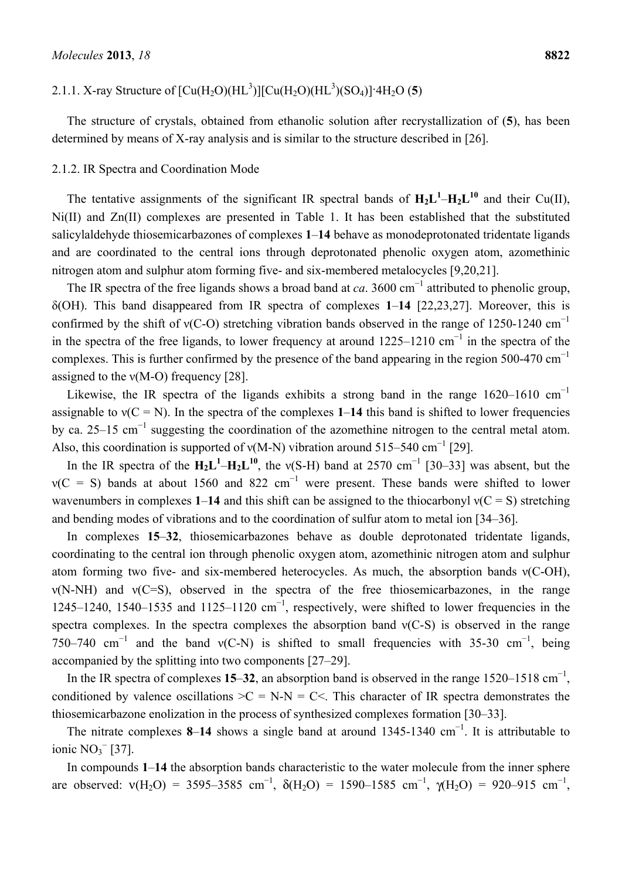# 2.1.1. X-ray Structure of  $[Cu(H<sub>2</sub>O)(HL<sup>3</sup>)][Cu(H<sub>2</sub>O)(HL<sup>3</sup>)(SO<sub>4</sub>)]<sup>1</sup>4H<sub>2</sub>O (5)$

The structure of crystals, obtained from ethanolic solution after recrystallization of (**5**), has been determined by means of X-ray analysis and is similar to the structure described in [26].

#### 2.1.2. IR Spectra and Coordination Mode

The tentative assignments of the significant IR spectral bands of  $H_2L^1-H_2L^{10}$  and their Cu(II), Ni(II) and Zn(II) complexes are presented in Table 1. It has been established that the substituted salicylaldehyde thiosemicarbazones of complexes **1**–**14** behave as monodeprotonated tridentate ligands and are coordinated to the central ions through deprotonated phenolic oxygen atom, azomethinic nitrogen atom and sulphur atom forming five- and six-membered metalocycles [9,20,21].

The IR spectra of the free ligands shows a broad band at *ca*. 3600 cm<sup>-1</sup> attributed to phenolic group, δ(OH). This band disappeared from IR spectra of complexes **1**–**14** [22,23,27]. Moreover, this is confirmed by the shift of  $v(C-O)$  stretching vibration bands observed in the range of 1250-1240 cm<sup>-1</sup> in the spectra of the free ligands, to lower frequency at around 1225–1210 cm<sup>-1</sup> in the spectra of the complexes. This is further confirmed by the presence of the band appearing in the region 500-470  $cm^{-1}$ assigned to the  $v(M-O)$  frequency [28].

Likewise, the IR spectra of the ligands exhibits a strong band in the range 1620–1610 cm<sup>-1</sup> assignable to  $v(C = N)$ . In the spectra of the complexes 1–14 this band is shifted to lower frequencies by ca. 25–15 cm<sup>-1</sup> suggesting the coordination of the azomethine nitrogen to the central metal atom. Also, this coordination is supported of  $v(M-N)$  vibration around 515–540 cm<sup>-1</sup> [29].

In the IR spectra of the  $H_2L^1-H_2L^{10}$ , the v(S-H) band at 2570 cm<sup>-1</sup> [30–33] was absent, but the  $v(C = S)$  bands at about 1560 and 822 cm<sup>-1</sup> were present. These bands were shifted to lower wavenumbers in complexes  $1-14$  and this shift can be assigned to the thiocarbonyl  $v(C = S)$  stretching and bending modes of vibrations and to the coordination of sulfur atom to metal ion [34–36].

In complexes **15**–**32**, thiosemicarbazones behave as double deprotonated tridentate ligands, coordinating to the central ion through phenolic oxygen atom, azomethinic nitrogen atom and sulphur atom forming two five- and six-membered heterocycles. As much, the absorption bands ν(C-OH), ν(N-NH) and ν(C=S), observed in the spectra of the free thiosemicarbazones, in the range 1245–1240, 1540–1535 and 1125–1120  $cm^{-1}$ , respectively, were shifted to lower frequencies in the spectra complexes. In the spectra complexes the absorption band  $v(C-S)$  is observed in the range 750–740 cm<sup>-1</sup> and the band v(C-N) is shifted to small frequencies with 35-30 cm<sup>-1</sup>, being accompanied by the splitting into two components [27–29].

In the IR spectra of complexes  $15-32$ , an absorption band is observed in the range  $1520-1518 \text{ cm}^{-1}$ , conditioned by valence oscillations  $>C = N-N = C \le$ . This character of IR spectra demonstrates the thiosemicarbazone enolization in the process of synthesized complexes formation [30–33].

The nitrate complexes 8–14 shows a single band at around 1345-1340 cm<sup>-1</sup>. It is attributable to ionic  $NO<sub>3</sub><sup>-</sup>$  [37].

In compounds **1**–**14** the absorption bands characteristic to the water molecule from the inner sphere are observed:  $v(H_2O) = 3595-3585$  cm<sup>-1</sup>,  $\delta(H_2O) = 1590-1585$  cm<sup>-1</sup>,  $\gamma(H_2O) = 920-915$  cm<sup>-1</sup>,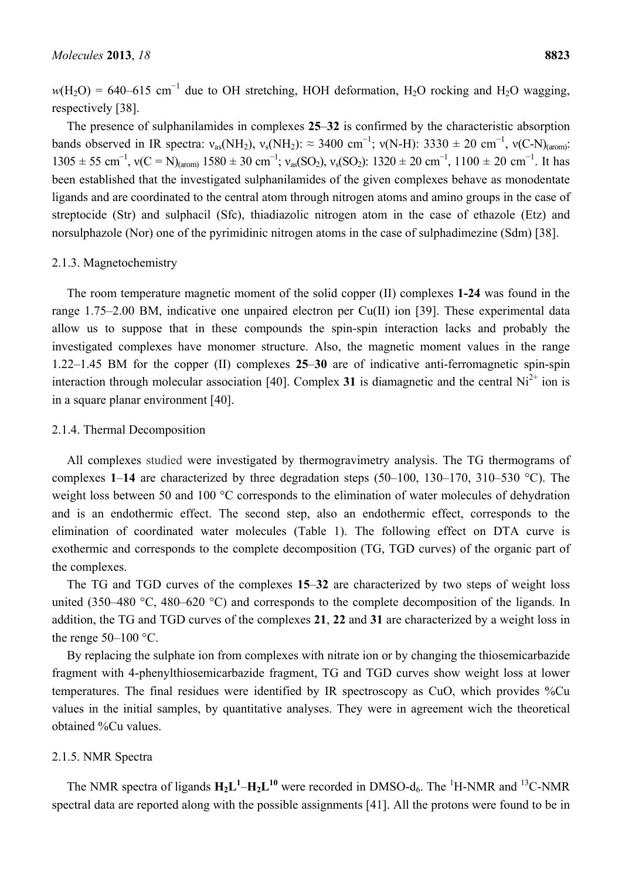$w(H_2O) = 640-615$  cm<sup>-1</sup> due to OH stretching, HOH deformation, H<sub>2</sub>O rocking and H<sub>2</sub>O wagging, respectively [38].

The presence of sulphanilamides in complexes **25**–**32** is confirmed by the characteristic absorption bands observed in IR spectra:  $v_{as}(NH_2)$ ,  $v_s(NH_2)$ :  $\approx 3400 \text{ cm}^{-1}$ ;  $v(N-H)$ : 3330  $\pm 20 \text{ cm}^{-1}$ ,  $v(C-N)_{(arom)}$ :  $1305 \pm 55$  cm<sup>-1</sup>,  $v(C = N)_{(arom)} 1580 \pm 30$  cm<sup>-1</sup>;  $v_{as}(SO_2)$ ,  $v_s(SO_2)$ :  $1320 \pm 20$  cm<sup>-1</sup>,  $1100 \pm 20$  cm<sup>-1</sup>. It has been established that the investigated sulphanilamides of the given complexes behave as monodentate ligands and are coordinated to the central atom through nitrogen atoms and amino groups in the case of streptocide (Str) and sulphacil (Sfc), thiadiazolic nitrogen atom in the case of ethazole (Etz) and norsulphazole (Nor) one of the pyrimidinic nitrogen atoms in the case of sulphadimezine (Sdm) [38].

#### 2.1.3. Magnetochemistry

The room temperature magnetic moment of the solid copper (II) complexes **1-24** was found in the range 1.75–2.00 BM, indicative one unpaired electron per Cu(II) ion [39]. These experimental data allow us to suppose that in these compounds the spin-spin interaction lacks and probably the investigated complexes have monomer structure. Also, the magnetic moment values in the range 1.22–1.45 BM for the copper (II) complexes **25**–**30** are of indicative anti-ferromagnetic spin-spin interaction through molecular association [40]. Complex 31 is diamagnetic and the central  $Ni^{2+}$  ion is in a square planar environment [40].

#### 2.1.4. Thermal Decomposition

All complexes studied were investigated by thermogravimetry analysis. The TG thermograms of complexes **1**–**14** are characterized by three degradation steps (50–100, 130–170, 310–530 °C). The weight loss between 50 and 100 °C corresponds to the elimination of water molecules of dehydration and is an endothermic effect. The second step, also an endothermic effect, corresponds to the elimination of coordinated water molecules (Table 1). The following effect on DTA curve is exothermic and corresponds to the complete decomposition (TG, TGD curves) of the organic part of the complexes.

The TG and TGD curves of the complexes **15**–**32** are characterized by two steps of weight loss united (350–480 °C, 480–620 °C) and corresponds to the complete decomposition of the ligands. In addition, the TG and TGD curves of the complexes **21**, **22** and **31** are characterized by a weight loss in the renge  $50-100$  °C.

By replacing the sulphate ion from complexes with nitrate ion or by changing the thiosemicarbazide fragment with 4-phenylthiosemicarbazide fragment, TG and TGD curves show weight loss at lower temperatures. The final residues were identified by IR spectroscopy as CuO, which provides %Cu values in the initial samples, by quantitative analyses. They were in agreement wich the theoretical obtained %Cu values.

# 2.1.5. NMR Spectra

The NMR spectra of ligands  $H_2L^1-H_2L^{10}$  were recorded in DMSO-d<sub>6</sub>. The <sup>1</sup>H-NMR and <sup>13</sup>C-NMR spectral data are reported along with the possible assignments [41]. All the protons were found to be in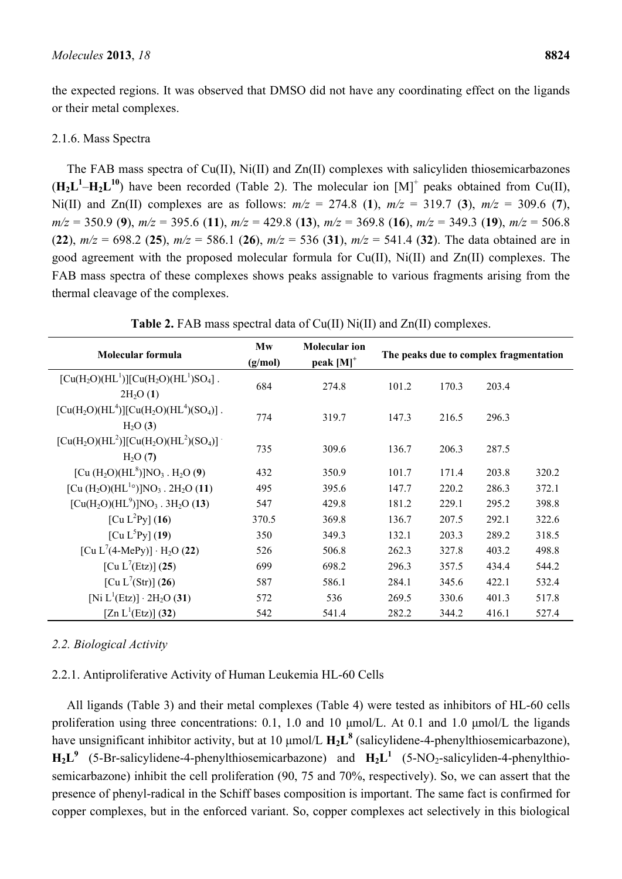the expected regions. It was observed that DMSO did not have any coordinating effect on the ligands or their metal complexes.

# 2.1.6. Mass Spectra

The FAB mass spectra of Cu(II), Ni(II) and Zn(II) complexes with salicyliden thiosemicarbazones  $(\mathbf{H}_2 \mathbf{L}^1 - \mathbf{H}_2 \mathbf{L}^{10})$  have been recorded (Table 2). The molecular ion  $[M]^+$  peaks obtained from Cu(II), Ni(II) and Zn(II) complexes are as follows:  $m/z = 274.8$  (1),  $m/z = 319.7$  (3),  $m/z = 309.6$  (7), *m/z* = 350.9 (**9**), *m/z* = 395.6 (**11**), *m/z* = 429.8 (**13**), *m/z* = 369.8 (**16**), *m/z* = 349.3 (**19**), *m/z* = 506.8 (**22**), *m/z* = 698.2 (**25**), *m/z* = 586.1 (**26**), *m/z* = 536 (**31**), *m/z* = 541.4 (**32**). The data obtained are in good agreement with the proposed molecular formula for Cu(II), Ni(II) and Zn(II) complexes. The FAB mass spectra of these complexes shows peaks assignable to various fragments arising from the thermal cleavage of the complexes.

| Molecular formula                                                                  | Mw<br>(g/mol) | <b>Molecular ion</b><br>peak $[M]$ <sup>+</sup> | The peaks due to complex fragmentation |       |       |       |  |  |
|------------------------------------------------------------------------------------|---------------|-------------------------------------------------|----------------------------------------|-------|-------|-------|--|--|
| $[Cu(H2O)(HL1)][Cu(H2O)(HL1)SO4]$ .<br>$2H_2O(1)$                                  | 684           | 274.8                                           | 101.2                                  | 170.3 | 203.4 |       |  |  |
| $[Cu(H2O)(HL4)][Cu(H2O)(HL4)(SO4)]$ .<br>$H_2O(3)$                                 | 774           | 319.7                                           | 147.3                                  | 216.5 | 296.3 |       |  |  |
| $[Cu(H2O)(HL2)][Cu(H2O)(HL2)(SO4)]$<br>$H_2O(7)$                                   | 735           | 309.6                                           | 136.7                                  | 206.3 | 287.5 |       |  |  |
| [Cu $(H_2O)(HL^8)$ ]NO <sub>3</sub> . H <sub>2</sub> O (9)                         | 432           | 350.9                                           | 101.7                                  | 171.4 | 203.8 | 320.2 |  |  |
| [Cu (H <sub>2</sub> O)(HL <sup>1</sup> °)]NO <sub>3</sub> . 2H <sub>2</sub> O (11) | 495           | 395.6                                           | 147.7                                  | 220.2 | 286.3 | 372.1 |  |  |
| $[Cu(H2O)(HL9)]NO3$ . 3H <sub>2</sub> O (13)                                       | 547           | 429.8                                           | 181.2                                  | 229.1 | 295.2 | 398.8 |  |  |
| [Cu L <sup>2</sup> Py] $(16)$                                                      | 370.5         | 369.8                                           | 136.7                                  | 207.5 | 292.1 | 322.6 |  |  |
| [Cu $L^{5}$ Py] (19)                                                               | 350           | 349.3                                           | 132.1                                  | 203.3 | 289.2 | 318.5 |  |  |
| [Cu L <sup>7</sup> (4-MePy)] $\cdot$ H <sub>2</sub> O (22)                         | 526           | 506.8                                           | 262.3                                  | 327.8 | 403.2 | 498.8 |  |  |
| [Cu L <sup>7</sup> (Etz)] (25)                                                     | 699           | 698.2                                           | 296.3                                  | 357.5 | 434.4 | 544.2 |  |  |
| [Cu L <sup>7</sup> (Str)] (26)                                                     | 587           | 586.1                                           | 284.1                                  | 345.6 | 422.1 | 532.4 |  |  |
| [Ni $L^1(Etz)$ ] $\cdot$ 2H <sub>2</sub> O (31)                                    | 572           | 536                                             | 269.5                                  | 330.6 | 401.3 | 517.8 |  |  |
| [Zn $L^1(Etz)$ ] (32)                                                              | 542           | 541.4                                           | 282.2                                  | 344.2 | 416.1 | 527.4 |  |  |

**Table 2.** FAB mass spectral data of Cu(II) Ni(II) and Zn(II) complexes.

# *2.2. Biological Activity*

# 2.2.1. Antiproliferative Activity of Human Leukemia HL-60 Cells

All ligands (Table 3) and their metal complexes (Table 4) were tested as inhibitors of HL-60 cells proliferation using three concentrations: 0.1, 1.0 and 10 μmol/L. At 0.1 and 1.0 μmol/L the ligands have unsignificant inhibitor activity, but at 10  $\mu$ mol/L  $H_2L^8$  (salicylidene-4-phenylthiosemicarbazone),  $H_2L^9$  (5-Br-salicylidene-4-phenylthiosemicarbazone) and  $H_2L^1$  (5-NO<sub>2</sub>-salicyliden-4-phenylthiosemicarbazone) inhibit the cell proliferation (90, 75 and 70%, respectively). So, we can assert that the presence of phenyl-radical in the Schiff bases composition is important. The same fact is confirmed for copper complexes, but in the enforced variant. So, copper complexes act selectively in this biological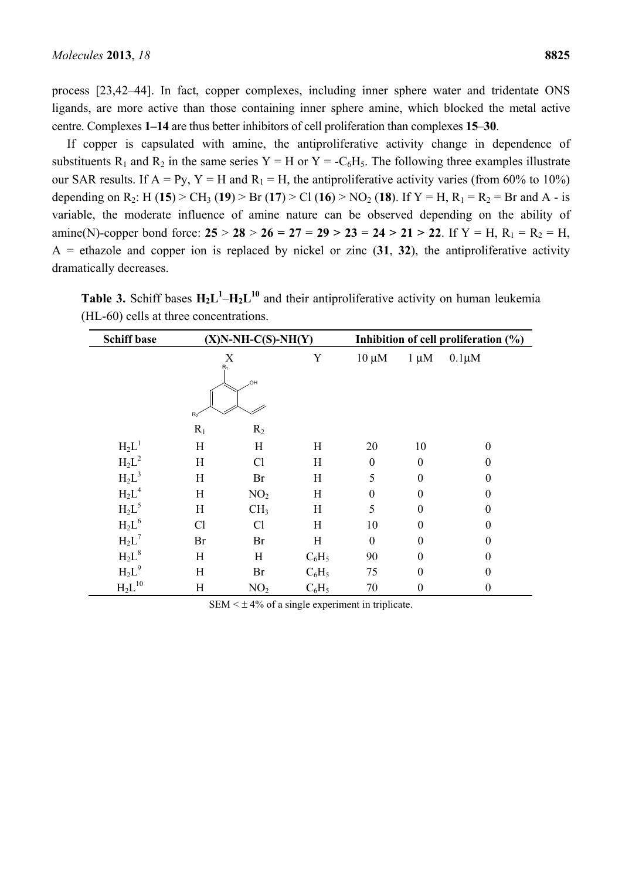process [23,42–44]. In fact, copper complexes, including inner sphere water and tridentate ONS ligands, are more active than those containing inner sphere amine, which blocked the metal active centre. Complexes **1–14** are thus better inhibitors of cell proliferation than complexes **15**–**30**.

If copper is capsulated with amine, the antiproliferative activity change in dependence of substituents R<sub>1</sub> and R<sub>2</sub> in the same series Y = H or Y = -C<sub>6</sub>H<sub>5</sub>. The following three examples illustrate our SAR results. If  $A = Py$ ,  $Y = H$  and  $R_1 = H$ , the antiproliferative activity varies (from 60% to 10%) depending on R<sub>2</sub>: H (15) > CH<sub>3</sub> (19) > Br (17) > Cl (16) > NO<sub>2</sub> (18). If Y = H, R<sub>1</sub> = R<sub>2</sub> = Br and A - is variable, the moderate influence of amine nature can be observed depending on the ability of amine(N)-copper bond force:  $25 > 28 > 26 = 27 = 29 > 23 = 24 > 21 > 22$ . If  $Y = H$ ,  $R_1 = R_2 = H$ ,  $A =$  ethazole and copper ion is replaced by nickel or zinc  $(31, 32)$ , the antiproliferative activity dramatically decreases.

**Table 3.** Schiff bases  $H_2L^1-H_2L^{10}$  and their antiproliferative activity on human leukemia (HL-60) cells at three concentrations.

| <b>Schiff base</b>   |                            | $(X)N-NH-C(S)-NH(Y)$ |          |            |                  | Inhibition of cell proliferation (%) |
|----------------------|----------------------------|----------------------|----------|------------|------------------|--------------------------------------|
|                      | X<br>$R_1$<br>HO.<br>$R_2$ |                      | Y        | $10 \mu M$ | $1 \mu M$        | $0.1 \mu M$                          |
|                      | $R_1$                      | $R_2$                |          |            |                  |                                      |
| $H_2L^1$             | H                          | H                    | H        | 20         | 10               | $\theta$                             |
| $H_2L^2$             | H                          | Cl                   | H        | $\theta$   | $\theta$         | $\theta$                             |
| $H_2L^3$             | H                          | Br                   | H        | 5          | $\boldsymbol{0}$ | 0                                    |
| $H_2L^4$             | H                          | NO <sub>2</sub>      | H        | $\Omega$   | $\boldsymbol{0}$ | $\boldsymbol{0}$                     |
| $H_2L^5$             | H                          | CH <sub>3</sub>      | H        | 5          | $\boldsymbol{0}$ | $\boldsymbol{0}$                     |
| $H_2L^6$             | Cl                         | Cl                   | H        | 10         | $\theta$         | $\theta$                             |
| $H_2L^7$             | Br                         | Br                   | H        | $\Omega$   | $\Omega$         | $\theta$                             |
| $H_2L^8$             | H                          | H                    | $C_6H_5$ | 90         | $\theta$         | $\mathbf{0}$                         |
| $H_2L^9$             | H                          | Br                   | $C_6H_5$ | 75         | $\boldsymbol{0}$ | $\mathbf{0}$                         |
| $\mathrm{H_2L}^{10}$ | H                          | NO <sub>2</sub>      | $C_6H_5$ | 70         | $\boldsymbol{0}$ | $\boldsymbol{0}$                     |

SEM  $\leq \pm 4\%$  of a single experiment in triplicate.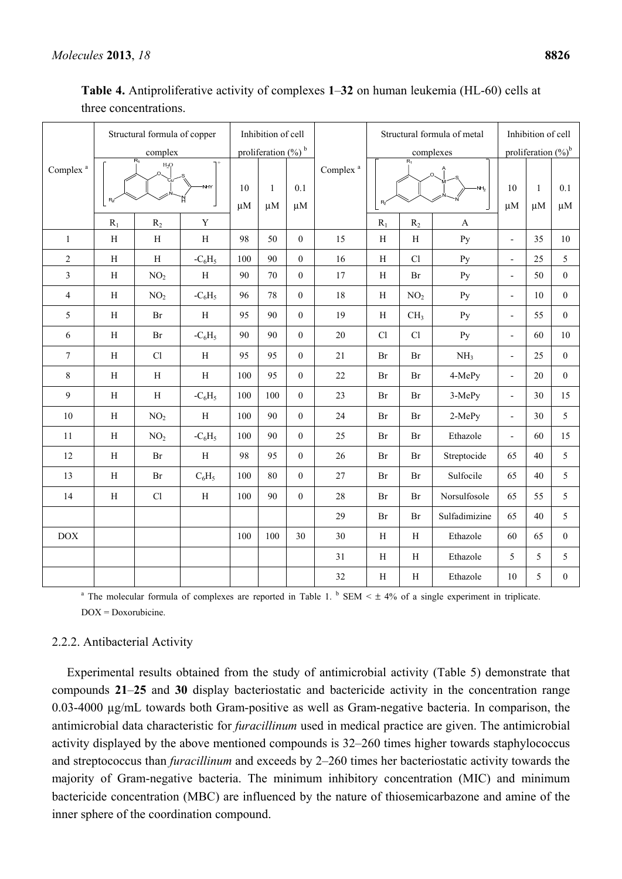|                      | Structural formula of copper |                 |              | Inhibition of cell |                                   |                  |                      | Structural formula of metal    | Inhibition of cell  |                 |                          |                        |                  |
|----------------------|------------------------------|-----------------|--------------|--------------------|-----------------------------------|------------------|----------------------|--------------------------------|---------------------|-----------------|--------------------------|------------------------|------------------|
|                      |                              | complex         |              |                    | proliferation $(\%)$ <sup>b</sup> |                  |                      |                                | $R_1$               | complexes       |                          | proliferation $(\%)^b$ |                  |
| Complex <sup>a</sup> | $R_1$<br>$H_2Q$<br>NHY       |                 |              | 10<br>$\mu$ M      | $\mathbf{1}$<br>$\mu$ M           | 0.1<br>$\mu$ M   | Complex <sup>a</sup> | R                              | $\Omega$<br>$N_{2}$ | 10<br>$\mu$ M   | 1<br>$\mu$ M             | 0.1<br>$\mu$ M         |                  |
|                      | $R_1$                        | $R_2$           | $\mathbf Y$  |                    |                                   |                  |                      | $R_1$                          | $R_2$               | A               |                          |                        |                  |
| $\mathbf{1}$         | $\, {\rm H}$                 | $\, {\rm H}$    | $\, {\rm H}$ | 98                 | 50                                | $\boldsymbol{0}$ | 15                   | H                              | $\rm H$             | Py              | $\overline{a}$           | 35                     | 10               |
| $\sqrt{2}$           | $\rm H$                      | $\rm H$         | $-C_6H_5$    | 100                | 90                                | $\boldsymbol{0}$ | 16                   | H                              | Cl                  | Py              | $\overline{\phantom{0}}$ | 25                     | 5                |
| $\overline{3}$       | $\mathbf H$                  | NO <sub>2</sub> | $\, {\rm H}$ | 90                 | 70                                | $\boldsymbol{0}$ | $17\,$               | $\rm H$                        | Br                  | Py              | $\overline{a}$           | 50                     | $\mathbf{0}$     |
| $\overline{4}$       | H                            | NO <sub>2</sub> | $-C_6H_5$    | 96                 | 78                                | $\boldsymbol{0}$ | $18\,$               | H                              | NO <sub>2</sub>     | Py              | $\overline{\phantom{0}}$ | 10                     | $\mathbf{0}$     |
| 5                    | $\rm H$                      | Br              | $\, {\rm H}$ | 95                 | 90                                | $\mathbf{0}$     | 19                   | H                              | CH <sub>3</sub>     | Py              | $\overline{a}$           | 55                     | $\overline{0}$   |
| 6                    | $\mathbf H$                  | Br              | $-C_6H_5$    | 90                 | 90                                | $\boldsymbol{0}$ | 20                   | Cl                             | Cl                  | Py              | $\overline{\phantom{a}}$ | 60                     | 10               |
| $\tau$               | $\, {\rm H}$                 | Cl              | $\mathbf H$  | 95                 | 95                                | $\boldsymbol{0}$ | 21                   | Br                             | Br                  | NH <sub>3</sub> | $\overline{\phantom{a}}$ | 25                     | $\mathbf{0}$     |
| 8                    | $\, {\rm H}$                 | $\, {\rm H}$    | $\, {\rm H}$ | 100                | 95                                | $\boldsymbol{0}$ | $22\,$               | Br                             | Br                  | 4-MePy          | $\overline{a}$           | 20                     | $\mathbf{0}$     |
| 9                    | $\, {\rm H}$                 | $\, {\rm H}$    | $-C_6H_5$    | 100                | 100                               | $\boldsymbol{0}$ | 23                   | Br                             | Br                  | 3-MePy          | $\overline{\phantom{0}}$ | 30                     | 15               |
| 10                   | $\, {\rm H}$                 | NO <sub>2</sub> | $\, {\rm H}$ | 100                | 90                                | $\mathbf{0}$     | 24                   | Br                             | Br                  | 2-MePy          | $\overline{a}$           | 30                     | 5                |
| 11                   | $\, {\rm H}$                 | NO <sub>2</sub> | $-C_6H_5$    | 100                | 90                                | $\boldsymbol{0}$ | 25                   | Br                             | Br                  | Ethazole        | $\overline{a}$           | 60                     | 15               |
| 12                   | $\, {\rm H}$                 | Br              | $\, {\rm H}$ | 98                 | 95                                | $\boldsymbol{0}$ | 26                   | Br                             | Br                  | Streptocide     | 65                       | 40                     | 5                |
| 13                   | $\, {\rm H}$                 | $\rm Br$        | $C_6H_5$     | 100                | 80                                | $\boldsymbol{0}$ | $27\,$               | <b>Br</b>                      | Br                  | Sulfocile       | 65                       | 40                     | 5                |
| 14                   | $\mathbf H$                  | Cl              | H            | 100                | 90                                | $\overline{0}$   | 28                   | Br                             | Br                  | Norsulfosole    | 65                       | 55                     | 5                |
|                      |                              |                 |              |                    |                                   |                  | 29                   | Br<br>Br                       |                     | Sulfadimizine   | 65                       | 40                     | 5                |
| DOX                  |                              |                 |              | 100                | 100                               | 30               | 30                   | $\rm H$<br>$\rm H$<br>Ethazole |                     | 60              | 65                       | $\mathbf{0}$           |                  |
|                      |                              |                 |              |                    |                                   |                  | 31                   | $\rm H$                        | $\rm H$             | Ethazole        | 5                        | 5                      | 5                |
|                      |                              |                 |              |                    |                                   |                  | 32                   | $\rm H$                        | $\, {\rm H}$        | Ethazole        | 10                       | 5                      | $\boldsymbol{0}$ |

**Table 4.** Antiproliferative activity of complexes **1**–**32** on human leukemia (HL-60) cells at three concentrations.

<sup>a</sup> The molecular formula of complexes are reported in Table 1. <sup>b</sup> SEM  $\leq \pm 4\%$  of a single experiment in triplicate. DOX = Doxorubicine.

#### 2.2.2. Antibacterial Activity

Experimental results obtained from the study of antimicrobial activity (Table 5) demonstrate that compounds **21**–**25** and **30** display bacteriostatic and bactericide activity in the concentration range 0.03-4000 µg/mL towards both Gram-positive as well as Gram-negative bacteria. In comparison, the antimicrobial data characteristic for *furacillinum* used in medical practice are given. The antimicrobial activity displayed by the above mentioned compounds is 32–260 times higher towards staphylococcus and streptococcus than *furacillinum* and exceeds by 2–260 times her bacteriostatic activity towards the majority of Gram-negative bacteria. The minimum inhibitory concentration (MIC) and minimum bactericide concentration (MBC) are influenced by the nature of thiosemicarbazone and amine of the inner sphere of the coordination compound.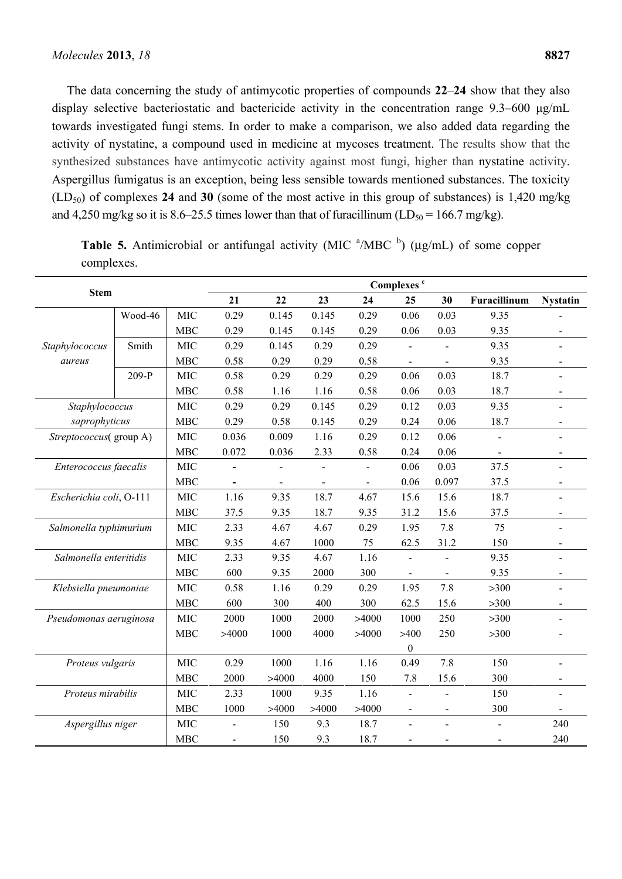The data concerning the study of antimycotic properties of compounds **22**–**24** show that they also display selective bacteriostatic and bactericide activity in the concentration range 9.3–600 μg/mL towards investigated fungi stems. In order to make a comparison, we also added data regarding the activity of nystatine, a compound used in medicine at mycoses treatment. The results show that the synthesized substances have antimycotic activity against most fungi, higher than nystatine activity. Aspergillus fumigatus is an exception, being less sensible towards mentioned substances. The toxicity (LD50) of complexes **24** and **30** (some of the most active in this group of substances) is 1,420 mg/kg and 4,250 mg/kg so it is 8.6–25.5 times lower than that of furacillinum (LD<sub>50</sub> = 166.7 mg/kg).

**Table 5.** Antimicrobial or antifungal activity (MIC  $\mathrm{^{a}/MBC}$  b) ( $\mu$ g/mL) of some copper complexes.

|                         | <b>Stem</b> |            |                |                |                |                | Complexes <sup>c</sup> |                |                |                          |
|-------------------------|-------------|------------|----------------|----------------|----------------|----------------|------------------------|----------------|----------------|--------------------------|
|                         |             |            | 21             | 22             | 23             | 24             | 25                     | 30             | Furacillinum   | <b>Nystatin</b>          |
|                         | Wood-46     | <b>MIC</b> | 0.29           | 0.145          | 0.145          | 0.29           | 0.06                   | 0.03           | 9.35           |                          |
|                         |             | <b>MBC</b> | 0.29           | 0.145          | 0.145          | 0.29           | 0.06                   | 0.03           | 9.35           |                          |
| Staphylococcus          | Smith       | <b>MIC</b> | 0.29           | 0.145          | 0.29           | 0.29           |                        |                | 9.35           |                          |
| aureus                  |             | <b>MBC</b> | 0.58           | 0.29           | 0.29           | 0.58           | $\blacksquare$         |                | 9.35           | $\overline{\phantom{a}}$ |
|                         | 209-P       | <b>MIC</b> | 0.58           | 0.29           | 0.29           | 0.29           | 0.06                   | 0.03           | 18.7           |                          |
|                         |             | <b>MBC</b> | 0.58           | 1.16           | 1.16           | 0.58           | 0.06                   | 0.03           | 18.7           |                          |
| Staphylococcus          |             | <b>MIC</b> | 0.29           | 0.29           | 0.145          | 0.29           | 0.12                   | 0.03           | 9.35           | $\sim$                   |
| saprophyticus           |             | <b>MBC</b> | 0.29           | 0.58           | 0.145          | 0.29           | 0.24                   | 0.06           | 18.7           |                          |
| Streptococcus(group A)  |             | <b>MIC</b> | 0.036          | 0.009          | 1.16           | 0.29           | 0.12                   | 0.06           | $\blacksquare$ | $\blacksquare$           |
|                         |             | <b>MBC</b> | 0.072          | 0.036          | 2.33           | 0.58           | 0.24                   | 0.06           |                | $\blacksquare$           |
| Enterococcus faecalis   |             | <b>MIC</b> |                | $\blacksquare$ | $\overline{a}$ | $\blacksquare$ | 0.06                   | 0.03           | 37.5           |                          |
|                         |             | <b>MBC</b> |                |                | $\blacksquare$ |                | 0.06                   | 0.097          | 37.5           |                          |
| Escherichia coli, O-111 |             | <b>MIC</b> | 1.16           | 9.35           | 18.7           | 4.67           | 15.6                   | 15.6           | 18.7           |                          |
|                         |             | <b>MBC</b> | 37.5           | 9.35           | 18.7           | 9.35           | 31.2                   | 15.6           | 37.5           |                          |
| Salmonella typhimurium  |             | MIC        | 2.33           | 4.67           | 4.67           | 0.29           | 1.95                   | 7.8            | 75             | $\overline{\phantom{a}}$ |
|                         |             | <b>MBC</b> | 9.35           | 4.67           | 1000           | 75             | 62.5                   | 31.2           | 150            | $\blacksquare$           |
| Salmonella enteritidis  |             | <b>MIC</b> | 2.33           | 9.35           | 4.67           | 1.16           | $\blacksquare$         |                | 9.35           |                          |
|                         |             | <b>MBC</b> | 600            | 9.35           | 2000           | 300            |                        |                | 9.35           |                          |
| Klebsiella pneumoniae   |             | <b>MIC</b> | 0.58           | 1.16           | 0.29           | 0.29           | 1.95                   | 7.8            | $>300$         | $\blacksquare$           |
|                         |             | <b>MBC</b> | 600            | 300            | 400            | 300            | 62.5                   | 15.6           | $>300$         |                          |
| Pseudomonas aeruginosa  |             | <b>MIC</b> | 2000           | 1000           | 2000           | >4000          | 1000                   | 250            | $>300$         | $\blacksquare$           |
|                         |             | <b>MBC</b> | >4000          | 1000           | 4000           | >4000          | >400                   | 250            | $>300$         |                          |
|                         |             |            |                |                |                |                | $\mathbf{0}$           |                |                |                          |
| Proteus vulgaris        |             | <b>MIC</b> | 0.29           | 1000           | 1.16           | 1.16           | 0.49                   | 7.8            | 150            | $\blacksquare$           |
|                         |             | <b>MBC</b> | 2000           | >4000          | 4000           | 150            | 7.8                    | 15.6           | 300            | $\blacksquare$           |
| Proteus mirabilis       |             | <b>MIC</b> | 2.33           | 1000           | 9.35           | 1.16           | $\blacksquare$         | $\overline{a}$ | 150            | $\blacksquare$           |
|                         |             | <b>MBC</b> | 1000           | >4000          | >4000          | >4000          | $\blacksquare$         | $\blacksquare$ | 300            |                          |
| Aspergillus niger       |             | MIC        | $\overline{a}$ | 150            | 9.3            | 18.7           | $\blacksquare$         | $\blacksquare$ | $\overline{a}$ | 240                      |
|                         |             | <b>MBC</b> | $\overline{a}$ | 150            | 9.3            | 18.7           |                        |                |                | 240                      |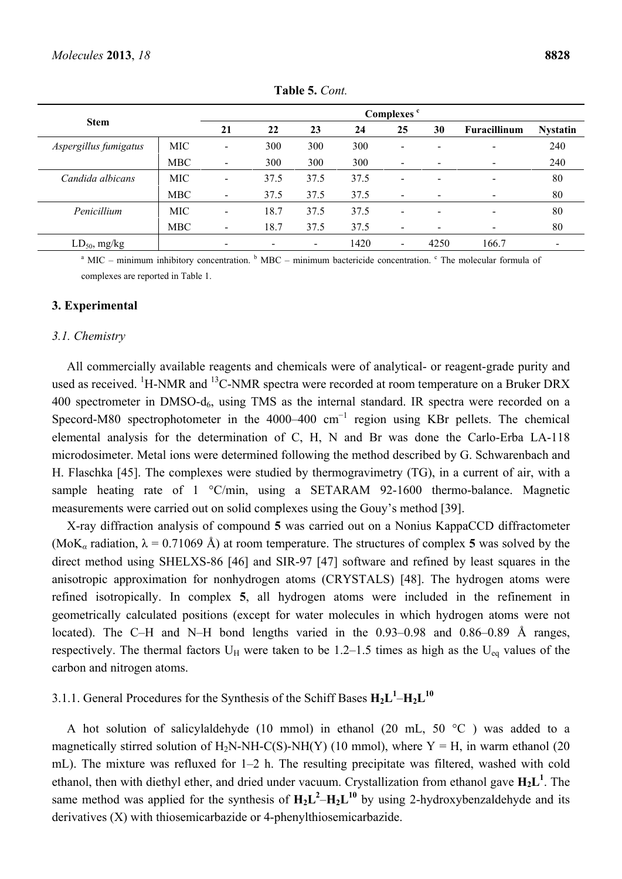|                       |            | Complexes <sup>c</sup>   |      |      |      |                          |      |                          |                 |  |  |  |
|-----------------------|------------|--------------------------|------|------|------|--------------------------|------|--------------------------|-----------------|--|--|--|
| <b>Stem</b>           |            | 21                       | 22   | 23   | 24   | 25                       | 30   | Furacillinum             | <b>Nystatin</b> |  |  |  |
| Aspergillus fumigatus | MIC        | -                        | 300  | 300  | 300  |                          |      |                          | 240             |  |  |  |
|                       | <b>MBC</b> | $\overline{\phantom{a}}$ | 300  | 300  | 300  | $\overline{\phantom{a}}$ |      | $\blacksquare$           | 240             |  |  |  |
| Candida albicans      | <b>MIC</b> | $\overline{\phantom{0}}$ | 37.5 | 37.5 | 37.5 | -                        |      | $\overline{\phantom{0}}$ | 80              |  |  |  |
|                       | <b>MBC</b> | -                        | 37.5 | 37.5 | 37.5 | $\overline{\phantom{a}}$ |      | $\blacksquare$           | 80              |  |  |  |
| Penicillium           | <b>MIC</b> |                          | 18.7 | 37.5 | 37.5 | $\overline{\phantom{0}}$ |      | $\overline{\phantom{a}}$ | 80              |  |  |  |
|                       | <b>MBC</b> |                          | 18.7 | 37.5 | 37.5 | $\overline{\phantom{a}}$ |      | $\blacksquare$           | 80              |  |  |  |
| $LD_{50}$ , mg/kg     |            |                          |      |      | 1420 | $\overline{\phantom{a}}$ | 4250 | 166.7                    |                 |  |  |  |

**Table 5.** *Cont.* 

 $^{\circ}$  MIC – minimum inhibitory concentration.  $^{\circ}$  MBC – minimum bactericide concentration.  $^{\circ}$  The molecular formula of complexes are reported in Table 1.

#### **3. Experimental**

#### *3.1. Chemistry*

All commercially available reagents and chemicals were of analytical- or reagent-grade purity and used as received. <sup>1</sup>H-NMR and <sup>13</sup>C-NMR spectra were recorded at room temperature on a Bruker DRX 400 spectrometer in DMSO- $d_6$ , using TMS as the internal standard. IR spectra were recorded on a Specord-M80 spectrophotometer in the 4000–400  $cm^{-1}$  region using KBr pellets. The chemical elemental analysis for the determination of C, H, N and Br was done the Carlo-Erba LA-118 microdosimeter. Metal ions were determined following the method described by G. Schwarenbach and H. Flaschka [45]. The complexes were studied by thermogravimetry (TG), in a current of air, with a sample heating rate of 1 °C/min, using a SETARAM 92-1600 thermo-balance. Magnetic measurements were carried out on solid complexes using the Gouy's method [39].

X-ray diffraction analysis of compound **5** was carried out on a Nonius KappaCCD diffractometer (MoK<sub>a</sub> radiation,  $\lambda = 0.71069$  Å) at room temperature. The structures of complex 5 was solved by the direct method using SHELXS-86 [46] and SIR-97 [47] software and refined by least squares in the anisotropic approximation for nonhydrogen atoms (CRYSTALS) [48]. The hydrogen atoms were refined isotropically. In complex **5**, all hydrogen atoms were included in the refinement in geometrically calculated positions (except for water molecules in which hydrogen atoms were not located). The C–H and N–H bond lengths varied in the 0.93–0.98 and 0.86–0.89 Å ranges, respectively. The thermal factors  $U_H$  were taken to be 1.2–1.5 times as high as the  $U_{eq}$  values of the carbon and nitrogen atoms.

# 3.1.1. General Procedures for the Synthesis of the Schiff Bases  $H_2L^1-H_2L^{10}$

A hot solution of salicylaldehyde (10 mmol) in ethanol (20 mL, 50  $^{\circ}$ C) was added to a magnetically stirred solution of H<sub>2</sub>N-NH-C(S)-NH(Y) (10 mmol), where  $Y = H$ , in warm ethanol (20 mL). The mixture was refluxed for 1–2 h. The resulting precipitate was filtered, washed with cold ethanol, then with diethyl ether, and dried under vacuum. Crystallization from ethanol gave  $H_2L^1$ . The same method was applied for the synthesis of  $H_2L^2 - H_2L^{10}$  by using 2-hydroxybenzaldehyde and its derivatives (X) with thiosemicarbazide or 4-phenylthiosemicarbazide.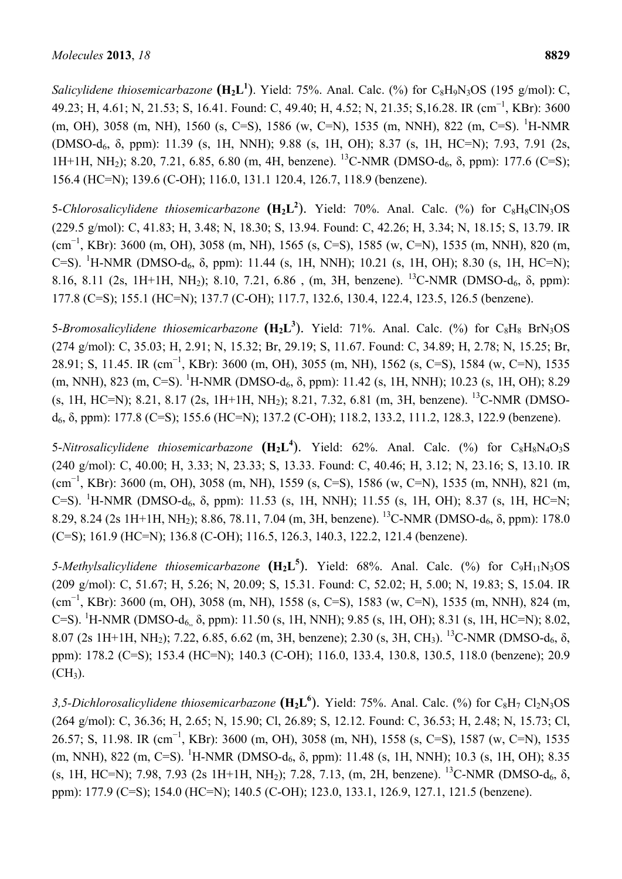*Salicylidene thiosemicarbazone*  $(H_2L^1)$ . Yield: 75%. Anal. Calc. (%) for  $C_8H_9N_3OS$  (195 g/mol): C, 49.23; H, 4.61; N, 21.53; S, 16.41. Found: C, 49.40; H, 4.52; N, 21.35; S,16.28. IR (cm<sup>−</sup><sup>1</sup> , KBr): 3600 (m, OH), 3058 (m, NH), 1560 (s, C=S), 1586 (w, C=N), 1535 (m, NNH), 822 (m, C=S). <sup>1</sup>H-NMR (DMSO-d6, δ, ppm): 11.39 (s, 1H, NNH); 9.88 (s, 1H, OH); 8.37 (s, 1H, HC=N); 7.93, 7.91 (2s, 1H+1H, NH<sub>2</sub>); 8.20, 7.21, 6.85, 6.80 (m, 4H, benzene). <sup>13</sup>C-NMR (DMSO-d<sub>6</sub>,  $\delta$ , ppm): 177.6 (C=S); 156.4 (HC=N); 139.6 (C-OH); 116.0, 131.1 120.4, 126.7, 118.9 (benzene).

5-*Chlorosalicylidene thiosemicarbazone*  $(H_2L^2)$ . Yield: 70%. Anal. Calc. (%) for C<sub>8</sub>H<sub>8</sub>ClN<sub>3</sub>OS (229.5 g/mol): C, 41.83; H, 3.48; N, 18.30; S, 13.94. Found: C, 42.26; H, 3.34; N, 18.15; S, 13.79. IR (cm<sup>−</sup><sup>1</sup> , KBr): 3600 (m, OH), 3058 (m, NH), 1565 (s, C=S), 1585 (w, C=N), 1535 (m, NNH), 820 (m, C=S). <sup>1</sup>H-NMR (DMSO-d<sub>6</sub>,  $\delta$ , ppm): 11.44 (s, 1H, NNH); 10.21 (s, 1H, OH); 8.30 (s, 1H, HC=N); 8.16, 8.11 (2s, 1H+1H, NH<sub>2</sub>); 8.10, 7.21, 6.86, (m, 3H, benzene). <sup>13</sup>C-NMR (DMSO-d<sub>6</sub>,  $\delta$ , ppm): 177.8 (C=S); 155.1 (HC=N); 137.7 (C-OH); 117.7, 132.6, 130.4, 122.4, 123.5, 126.5 (benzene).

5-*Bromosalicylidene thiosemicarbazone*  $(H_2L^3)$ . Yield: 71%. Anal. Calc. (%) for C<sub>8</sub>H<sub>8</sub> BrN<sub>3</sub>OS (274 g/mol): C, 35.03; H, 2.91; N, 15.32; Br, 29.19; S, 11.67. Found: C, 34.89; H, 2.78; N, 15.25; Br, 28.91; S, 11.45. IR (cm<sup>-1</sup>, KBr): 3600 (m, OH), 3055 (m, NH), 1562 (s, C=S), 1584 (w, C=N), 1535 (m, NNH), 823 (m, C=S). <sup>1</sup>H-NMR (DMSO-d<sub>6</sub>, δ, ppm): 11.42 (s, 1H, NNH); 10.23 (s, 1H, OH); 8.29 (s, 1H, HC=N); 8.21, 8.17 (2s, 1H+1H, NH2); 8.21, 7.32, 6.81 (m, 3H, benzene). 13C-NMR (DMSO $d<sub>6</sub>$ , δ, ppm): 177.8 (C=S); 155.6 (HC=N); 137.2 (C-OH); 118.2, 133.2, 111.2, 128.3, 122.9 (benzene).

5-*Nitrosalicylidene thiosemicarbazone*  $(H_2L^4)$ . Yield: 62%. Anal. Calc. (%) for C<sub>8</sub>H<sub>8</sub>N<sub>4</sub>O<sub>3</sub>S (240 g/mol): C, 40.00; H, 3.33; N, 23.33; S, 13.33. Found: C, 40.46; H, 3.12; N, 23.16; S, 13.10. IR (cm<sup>−</sup><sup>1</sup> , KBr): 3600 (m, OH), 3058 (m, NH), 1559 (s, C=S), 1586 (w, C=N), 1535 (m, NNH), 821 (m, C=S). <sup>1</sup>H-NMR (DMSO-d<sub>6</sub>,  $\delta$ , ppm): 11.53 (s, 1H, NNH); 11.55 (s, 1H, OH); 8.37 (s, 1H, HC=N; 8.29, 8.24 (2s 1H+1H, NH<sub>2</sub>); 8.86, 78.11, 7.04 (m, 3H, benzene). <sup>13</sup>C-NMR (DMSO-d<sub>6</sub>,  $\delta$ , ppm): 178.0 (C=S); 161.9 (HC=N); 136.8 (C-OH); 116.5, 126.3, 140.3, 122.2, 121.4 (benzene).

5-*Methylsalicylidene thiosemicarbazone* ( $H_2L^5$ ). Yield: 68%. Anal. Calc. (%) for C<sub>9</sub>H<sub>11</sub>N<sub>3</sub>OS (209 g/mol): C, 51.67; H, 5.26; N, 20.09; S, 15.31. Found: C, 52.02; H, 5.00; N, 19.83; S, 15.04. IR (cm<sup>−</sup><sup>1</sup> , KBr): 3600 (m, OH), 3058 (m, NH), 1558 (s, C=S), 1583 (w, C=N), 1535 (m, NNH), 824 (m, C=S). <sup>1</sup>H-NMR (DMSO-d<sub>6,,</sub>  $\delta$ , ppm): 11.50 (s, 1H, NNH); 9.85 (s, 1H, OH); 8.31 (s, 1H, HC=N); 8.02, 8.07 (2s 1H+1H, NH<sub>2</sub>); 7.22, 6.85, 6.62 (m, 3H, benzene); 2.30 (s, 3H, CH<sub>3</sub>). <sup>13</sup>C-NMR (DMSO-d<sub>6</sub>,  $\delta$ , ppm): 178.2 (C=S); 153.4 (HC=N); 140.3 (C-OH); 116.0, 133.4, 130.8, 130.5, 118.0 (benzene); 20.9  $(CH<sub>3</sub>)$ .

3,5-Dichlorosalicylidene thiosemicarbazone  $(H_2L^6)$ . Yield: 75%. Anal. Calc. (%) for C<sub>8</sub>H<sub>7</sub> Cl<sub>2</sub>N<sub>3</sub>OS (264 g/mol): C, 36.36; H, 2.65; N, 15.90; Cl, 26.89; S, 12.12. Found: C, 36.53; H, 2.48; N, 15.73; Cl, 26.57; S, 11.98. IR (cm<sup>-1</sup>, KBr): 3600 (m, OH), 3058 (m, NH), 1558 (s, C=S), 1587 (w, C=N), 1535 (m, NNH), 822 (m, C=S). <sup>1</sup>H-NMR (DMSO-d<sub>6</sub>,  $\delta$ , ppm): 11.48 (s, 1H, NNH); 10.3 (s, 1H, OH); 8.35 (s, 1H, HC=N); 7.98, 7.93 (2s 1H+1H, NH<sub>2</sub>); 7.28, 7.13, (m, 2H, benzene). <sup>13</sup>C-NMR (DMSO-d<sub>6</sub>,  $\delta$ , ppm): 177.9 (C=S); 154.0 (HC=N); 140.5 (C-OH); 123.0, 133.1, 126.9, 127.1, 121.5 (benzene).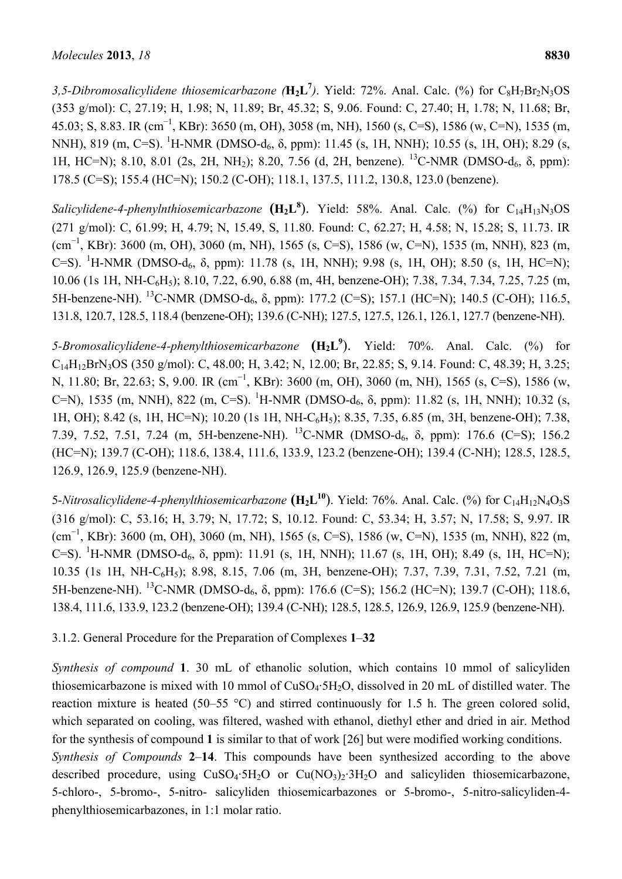3,5-Dibromosalicylidene thiosemicarbazone ( $H_2L^7$ ). Yield: 72%. Anal. Calc. (%) for C<sub>8</sub>H<sub>7</sub>Br<sub>2</sub>N<sub>3</sub>OS (353 g/mol): C, 27.19; H, 1.98; N, 11.89; Br, 45.32; S, 9.06. Found: C, 27.40; H, 1.78; N, 11.68; Br, 45.03; S, 8.83. IR (cm<sup>−</sup><sup>1</sup> , KBr): 3650 (m, OH), 3058 (m, NH), 1560 (s, C=S), 1586 (w, C=N), 1535 (m, NNH), 819 (m, C=S). <sup>1</sup>H-NMR (DMSO-d<sub>6</sub>, δ, ppm): 11.45 (s, 1H, NNH); 10.55 (s, 1H, OH); 8.29 (s, 1H, HC=N); 8.10, 8.01 (2s, 2H, NH<sub>2</sub>); 8.20, 7.56 (d, 2H, benzene). <sup>13</sup>C-NMR (DMSO-d<sub>6</sub>, δ, ppm): 178.5 (C=S); 155.4 (HC=N); 150.2 (C-OH); 118.1, 137.5, 111.2, 130.8, 123.0 (benzene).

Salicylidene-4-phenylnthiosemicarbazone **(H<sub>2</sub>L<sup>8</sup>)**. Yield: 58%. Anal. Calc. (%) for C<sub>14</sub>H<sub>13</sub>N<sub>3</sub>OS (271 g/mol): C, 61.99; H, 4.79; N, 15.49, S, 11.80. Found: C, 62.27; H, 4.58; N, 15.28; S, 11.73. IR (cm<sup>−</sup><sup>1</sup> , KBr): 3600 (m, OH), 3060 (m, NH), 1565 (s, C=S), 1586 (w, C=N), 1535 (m, NNH), 823 (m, C=S). <sup>1</sup>H-NMR (DMSO-d<sub>6</sub>,  $\delta$ , ppm): 11.78 (s, 1H, NNH); 9.98 (s, 1H, OH); 8.50 (s, 1H, HC=N); 10.06 (1s 1H, NH-C6H5); 8.10, 7.22, 6.90, 6.88 (m, 4H, benzene-OH); 7.38, 7.34, 7.34, 7.25, 7.25 (m, 5H-benzene-NH). <sup>13</sup>C-NMR (DMSO-d<sub>6</sub>, δ, ppm): 177.2 (C=S); 157.1 (HC=N); 140.5 (C-OH); 116.5, 131.8, 120.7, 128.5, 118.4 (benzene-OH); 139.6 (C-NH); 127.5, 127.5, 126.1, 126.1, 127.7 (benzene-NH).

*5-Bromosalicylidene-4-phenylthiosemicarbazone* **(H2L9** ). Yield: 70%. Anal. Calc. (%) for C14H12BrN3OS (350 g/mol): C, 48.00; H, 3.42; N, 12.00; Br, 22.85; S, 9.14. Found: C, 48.39; H, 3.25; N, 11.80; Br, 22.63; S, 9.00. IR (cm<sup>-1</sup>, KBr): 3600 (m, OH), 3060 (m, NH), 1565 (s, C=S), 1586 (w, C=N), 1535 (m, NNH), 822 (m, C=S). <sup>1</sup>H-NMR (DMSO-d<sub>6</sub>, δ, ppm): 11.82 (s, 1H, NNH); 10.32 (s, 1H, OH); 8.42 (s, 1H, HC=N); 10.20 (1s 1H, NH-C6H5); 8.35, 7.35, 6.85 (m, 3H, benzene-OH); 7.38, 7.39, 7.52, 7.51, 7.24 (m, 5H-benzene-NH). 13C-NMR (DMSO-d6, δ, ppm): 176.6 (C=S); 156.2 (HC=N); 139.7 (C-OH); 118.6, 138.4, 111.6, 133.9, 123.2 (benzene-OH); 139.4 (C-NH); 128.5, 128.5, 126.9, 126.9, 125.9 (benzene-NH).

5-*Nitrosalicylidene-4-phenylthiosemicarbazone* ( $H_2L^{10}$ ). Yield: 76%. Anal. Calc. (%) for C<sub>14</sub>H<sub>12</sub>N<sub>4</sub>O<sub>3</sub>S (316 g/mol): C, 53.16; H, 3.79; N, 17.72; S, 10.12. Found: C, 53.34; H, 3.57; N, 17.58; S, 9.97. IR (cm<sup>−</sup><sup>1</sup> , KBr): 3600 (m, OH), 3060 (m, NH), 1565 (s, C=S), 1586 (w, C=N), 1535 (m, NNH), 822 (m, C=S). <sup>1</sup>H-NMR (DMSO-d<sub>6</sub>,  $\delta$ , ppm): 11.91 (s, 1H, NNH); 11.67 (s, 1H, OH); 8.49 (s, 1H, HC=N); 10.35 (1s 1H, NH-C6H5); 8.98, 8.15, 7.06 (m, 3H, benzene-OH); 7.37, 7.39, 7.31, 7.52, 7.21 (m, 5H-benzene-NH). <sup>13</sup>C-NMR (DMSO-d<sub>6</sub>, δ, ppm): 176.6 (C=S); 156.2 (HC=N); 139.7 (C-OH); 118.6, 138.4, 111.6, 133.9, 123.2 (benzene-OH); 139.4 (C-NH); 128.5, 128.5, 126.9, 126.9, 125.9 (benzene-NH).

# 3.1.2. General Procedure for the Preparation of Complexes **1**–**32**

*Synthesis of compound* **1**. 30 mL of ethanolic solution, which contains 10 mmol of salicyliden thiosemicarbazone is mixed with 10 mmol of CuSO4·5H2O, dissolved in 20 mL of distilled water. The reaction mixture is heated (50–55 °C) and stirred continuously for 1.5 h. The green colored solid, which separated on cooling, was filtered, washed with ethanol, diethyl ether and dried in air. Method for the synthesis of compound **1** is similar to that of work [26] but were modified working conditions. *Synthesis of Compounds* **2**–**14**. This compounds have been synthesized according to the above described procedure, using CuSO<sub>4</sub>·5H<sub>2</sub>O or Cu(NO<sub>3</sub>)<sub>2</sub>·3H<sub>2</sub>O and salicyliden thiosemicarbazone, 5-chloro-, 5-bromo-, 5-nitro- salicyliden thiosemicarbazones or 5-bromo-, 5-nitro-salicyliden-4 phenylthiosemicarbazones, in 1:1 molar ratio.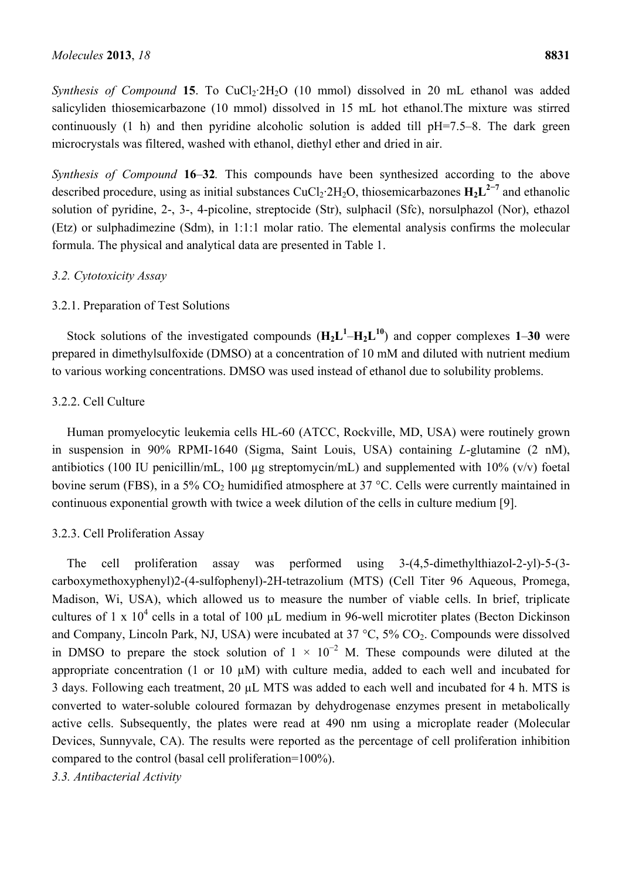*Synthesis of Compound* **15**. To CuCl<sub>2</sub>·2H<sub>2</sub>O (10 mmol) dissolved in 20 mL ethanol was added salicyliden thiosemicarbazone (10 mmol) dissolved in 15 mL hot ethanol.The mixture was stirred continuously (1 h) and then pyridine alcoholic solution is added till pH=7.5–8. The dark green microcrystals was filtered, washed with ethanol, diethyl ether and dried in air.

*Synthesis of Compound* **16**–**32***.* This compounds have been synthesized according to the above described procedure, using as initial substances CuCl<sub>2</sub>·2H<sub>2</sub>O, thiosemicarbazones  $H_2L^{2-7}$  and ethanolic solution of pyridine, 2-, 3-, 4-picoline, streptocide (Str), sulphacil (Sfc), norsulphazol (Nor), ethazol (Etz) or sulphadimezine (Sdm), in 1:1:1 molar ratio. The elemental analysis confirms the molecular formula. The physical and analytical data are presented in Table 1.

# *3.2. Cytotoxicity Assay*

## 3.2.1. Preparation of Test Solutions

Stock solutions of the investigated compounds  $(H_2L^1-H_2L^{10})$  and copper complexes 1–30 were prepared in dimethylsulfoxide (DMSO) at a concentration of 10 mM and diluted with nutrient medium to various working concentrations. DMSO was used instead of ethanol due to solubility problems.

#### 3.2.2. Cell Culture

Human promyelocytic leukemia cells HL-60 (ATCC, Rockville, MD, USA) were routinely grown in suspension in 90% RPMI-1640 (Sigma, Saint Louis, USA) containing *L*-glutamine (2 nM), antibiotics (100 IU penicillin/mL, 100  $\mu$ g streptomycin/mL) and supplemented with 10% (v/v) foetal bovine serum (FBS), in a 5%  $CO<sub>2</sub>$  humidified atmosphere at 37 °C. Cells were currently maintained in continuous exponential growth with twice a week dilution of the cells in culture medium [9].

## 3.2.3. Cell Proliferation Assay

The cell proliferation assay was performed using 3-(4,5-dimethylthiazol-2-yl)-5-(3 carboxymethoxyphenyl)2-(4-sulfophenyl)-2H-tetrazolium (MTS) (Cell Titer 96 Aqueous, Promega, Madison, Wi, USA), which allowed us to measure the number of viable cells. In brief, triplicate cultures of 1 x  $10^4$  cells in a total of 100  $\mu$ L medium in 96-well microtiter plates (Becton Dickinson and Company, Lincoln Park, NJ, USA) were incubated at  $37 \degree C$ ,  $5\%$  CO<sub>2</sub>. Compounds were dissolved in DMSO to prepare the stock solution of  $1 \times 10^{-2}$  M. These compounds were diluted at the appropriate concentration (1 or 10  $\mu$ M) with culture media, added to each well and incubated for 3 days. Following each treatment, 20 µL MTS was added to each well and incubated for 4 h. MTS is converted to water-soluble coloured formazan by dehydrogenase enzymes present in metabolically active cells. Subsequently, the plates were read at 490 nm using a microplate reader (Molecular Devices, Sunnyvale, CA). The results were reported as the percentage of cell proliferation inhibition compared to the control (basal cell proliferation=100%).

*3.3. Antibacterial Activity*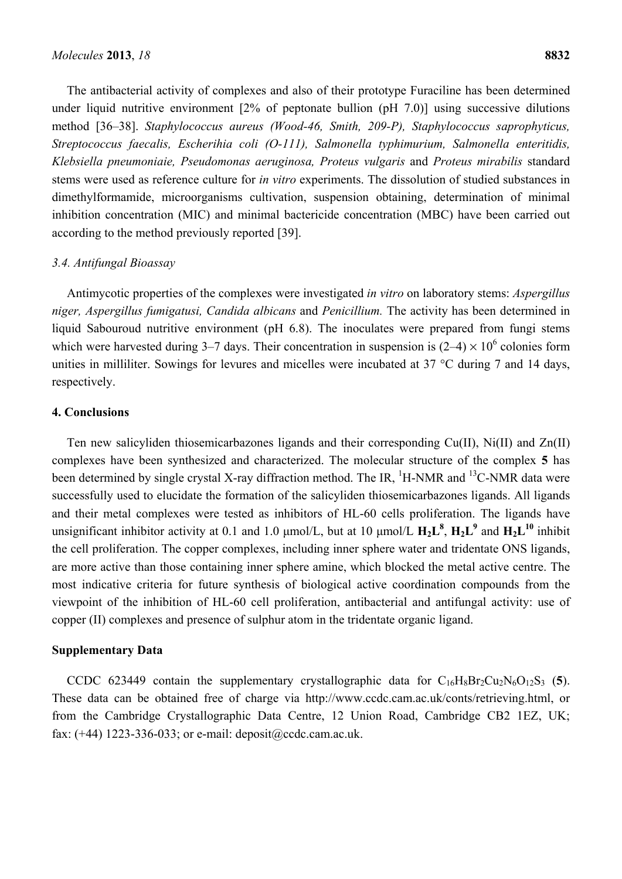The antibacterial activity of complexes and also of their prototype Furaciline has been determined under liquid nutritive environment [2% of peptonate bullion (pH 7.0)] using successive dilutions method [36–38]. *Staphylococcus aureus (Wood-46, Smith, 209-P), Staphylococcus saprophyticus, Streptococcus faecalis, Escherihia coli (O-111), Salmonella typhimurium, Salmonella enteritidis, Klebsiella pneumoniaie, Pseudomonas aeruginosa, Proteus vulgaris* and *Proteus mirabilis* standard stems were used as reference culture for *in vitro* experiments. The dissolution of studied substances in dimethylformamide, microorganisms cultivation, suspension obtaining, determination of minimal inhibition concentration (MIC) and minimal bactericide concentration (MBC) have been carried out according to the method previously reported [39].

#### *3.4. Antifungal Bioassay*

Antimycotic properties of the complexes were investigated *in vitro* on laboratory stems: *Aspergillus niger, Aspergillus fumigatusi, Candida albicans* and *Penicillium.* The activity has been determined in liquid Sabouroud nutritive environment (pH 6.8). The inoculates were prepared from fungi stems which were harvested during 3–7 days. Their concentration in suspension is  $(2-4) \times 10^6$  colonies form unities in milliliter. Sowings for levures and micelles were incubated at 37 °C during 7 and 14 days, respectively.

### **4. Conclusions**

Ten new salicyliden thiosemicarbazones ligands and their corresponding Cu(II), Ni(II) and Zn(II) complexes have been synthesized and characterized. The molecular structure of the complex **5** has been determined by single crystal X-ray diffraction method. The IR,  $^1$ H-NMR and  $^13$ C-NMR data were successfully used to elucidate the formation of the salicyliden thiosemicarbazones ligands. All ligands and their metal complexes were tested as inhibitors of HL-60 cells proliferation. The ligands have unsignificant inhibitor activity at 0.1 and 1.0  $\mu$ mol/L, but at 10  $\mu$ mol/L  $H_2L^8$ ,  $H_2L^9$  and  $H_2L^{10}$  inhibit the cell proliferation. The copper complexes, including inner sphere water and tridentate ONS ligands, are more active than those containing inner sphere amine, which blocked the metal active centre. The most indicative criteria for future synthesis of biological active coordination compounds from the viewpoint of the inhibition of HL-60 cell proliferation, antibacterial and antifungal activity: use of copper (II) complexes and presence of sulphur atom in the tridentate organic ligand.

#### **Supplementary Data**

CCDC 623449 contain the supplementary crystallographic data for  $C_{16}H_8Br_2Cu_2N_6O_{12}S_3$  (5). These data can be obtained free of charge via http://www.ccdc.cam.ac.uk/conts/retrieving.html, or from the Cambridge Crystallographic Data Centre, 12 Union Road, Cambridge CB2 1EZ, UK; fax: (+44) 1223-336-033; or e-mail: deposit@ccdc.cam.ac.uk.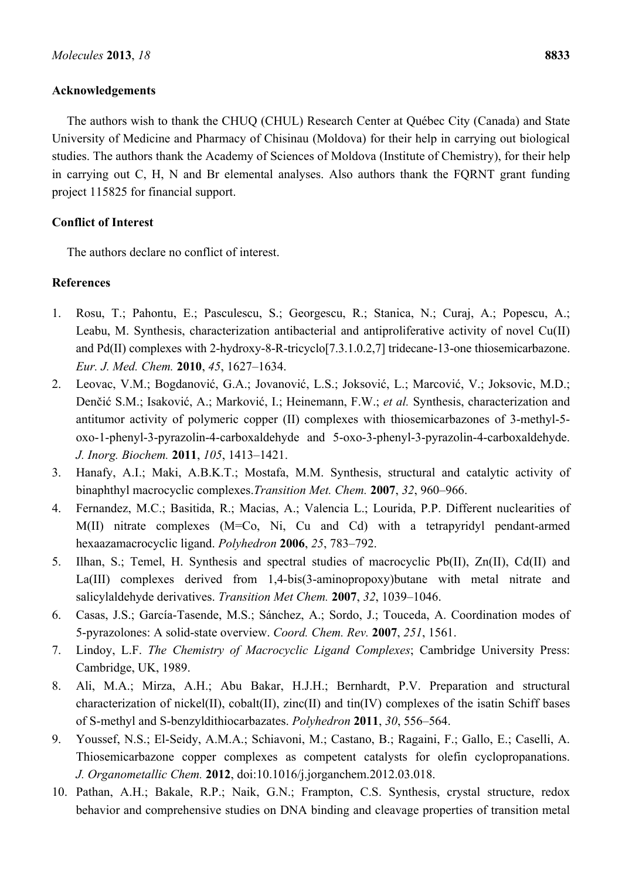### **Acknowledgements**

The authors wish to thank the CHUQ (CHUL) Research Center at Québec City (Canada) and State University of Medicine and Pharmacy of Chisinau (Moldova) for their help in carrying out biological studies. The authors thank the Academy of Sciences of Moldova (Institute of Chemistry), for their help in carrying out C, H, N and Br elemental analyses. Also authors thank the FQRNT grant funding project 115825 for financial support.

# **Conflict of Interest**

The authors declare no conflict of interest.

# **References**

- 1. Rosu, T.; Pahontu, E.; Pasculescu, S.; Georgescu, R.; Stanica, N.; Curaj, A.; Popescu, A.; Leabu, M. Synthesis, characterization antibacterial and antiproliferative activity of novel Cu(II) and Pd(II) complexes with 2-hydroxy-8-R-tricyclo[7.3.1.0.2,7] tridecane-13-one thiosemicarbazone. *Eur. J. Med. Chem.* **2010**, *45*, 1627–1634.
- 2. Leovac, V.M.; Bogdanović, G.A.; Jovanović, L.S.; Joksović, L.; Marcović, V.; Joksovic, M.D.; Denčić S.M.; Isaković, A.; Marković, I.; Heinemann, F.W.; *et al.* Synthesis, characterization and antitumor activity of polymeric copper (II) complexes with thiosemicarbazones of 3-methyl-5 oxo-1-phenyl-3-pyrazolin-4-carboxaldehyde and 5-oxo-3-phenyl-3-pyrazolin-4-carboxaldehyde. *J. Inorg. Biochem.* **2011**, *105*, 1413–1421.
- 3. Hanafy, A.I.; Maki, A.B.K.T.; Mostafa, M.M. Synthesis, structural and catalytic activity of binaphthyl macrocyclic complexes.*Transition Met. Chem.* **2007**, *32*, 960–966.
- 4. Fernandez, M.C.; Basitida, R.; Macias, A.; Valencia L.; Lourida, P.P. Different nuclearities of M(II) nitrate complexes (M=Co, Ni, Cu and Cd) with a tetrapyridyl pendant-armed hexaazamacrocyclic ligand. *Polyhedron* **2006**, *25*, 783–792.
- 5. Ilhan, S.; Temel, H. Synthesis and spectral studies of macrocyclic Pb(II), Zn(II), Cd(II) and La(III) complexes derived from 1,4-bis(3-aminopropoxy)butane with metal nitrate and salicylaldehyde derivatives. *Transition Met Chem.* **2007**, *32*, 1039–1046.
- 6. Casas, J.S.; García-Tasende, M.S.; Sánchez, A.; Sordo, J.; Touceda, A. Coordination modes of 5-pyrazolones: A solid-state overview. *Coord. Chem. Rev.* **2007**, *251*, 1561.
- 7. Lindoy, L.F. *The Chemistry of Macrocyclic Ligand Complexes*; Cambridge University Press: Cambridge, UK, 1989.
- 8. Ali, M.A.; Mirza, A.H.; Abu Bakar, H.J.H.; Bernhardt, P.V. Preparation and structural characterization of nickel(II), cobalt(II), zinc(II) and tin(IV) complexes of the isatin Schiff bases of S-methyl and S-benzyldithiocarbazates. *Polyhedron* **2011**, *30*, 556–564.
- 9. Youssef, N.S.; El-Seidy, A.M.A.; Schiavoni, M.; Castano, B.; Ragaini, F.; Gallo, E.; Caselli, A. Thiosemicarbazone copper complexes as competent catalysts for olefin cyclopropanations. *J. Organometallic Chem.* **2012**, doi:10.1016/j.jorganchem.2012.03.018.
- 10. Pathan, A.H.; Bakale, R.P.; Naik, G.N.; Frampton, C.S. Synthesis, crystal structure, redox behavior and comprehensive studies on DNA binding and cleavage properties of transition metal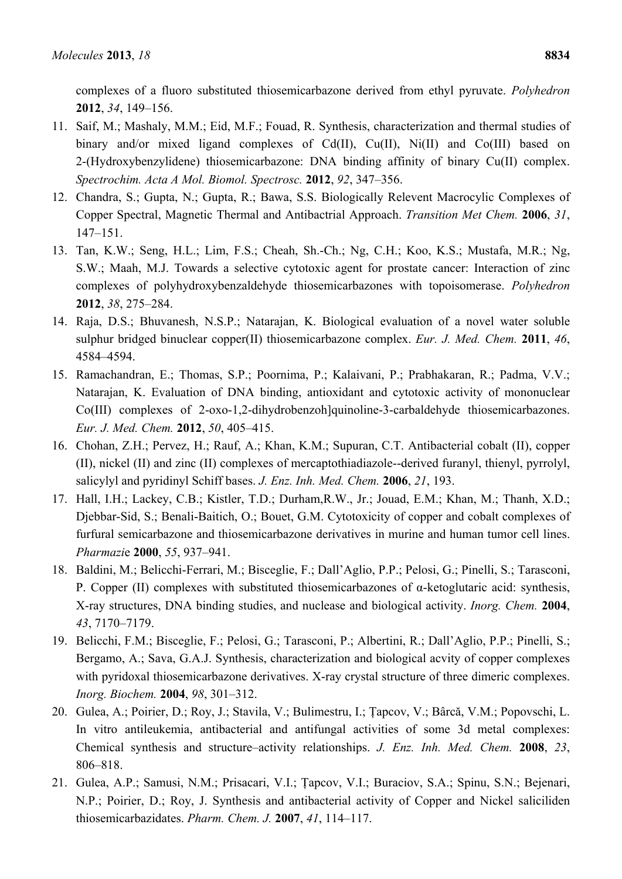complexes of a fluoro substituted thiosemicarbazone derived from ethyl pyruvate. *Polyhedron*  **2012**, *34*, 149–156.

- 11. Saif, M.; Mashaly, M.M.; Eid, M.F.; Fouad, R. Synthesis, characterization and thermal studies of binary and/or mixed ligand complexes of Cd(II), Cu(II), Ni(II) and Co(III) based on 2-(Hydroxybenzylidene) thiosemicarbazone: DNA binding affinity of binary Cu(II) complex. *Spectrochim. Acta A Mol. Biomol. Spectrosc.* **2012**, *92*, 347–356.
- 12. Chandra, S.; Gupta, N.; Gupta, R.; Bawa, S.S. Biologically Relevent Macrocylic Complexes of Copper Spectral, Magnetic Thermal and Antibactrial Approach. *Transition Met Chem.* **2006**, *31*, 147–151.
- 13. Tan, K.W.; Seng, H.L.; Lim, F.S.; Cheah, Sh.-Ch.; Ng, C.H.; Koo, K.S.; Mustafa, M.R.; Ng, S.W.; Maah, M.J. Towards a selective cytotoxic agent for prostate cancer: Interaction of zinc complexes of polyhydroxybenzaldehyde thiosemicarbazones with topoisomerase. *Polyhedron* **2012**, *38*, 275–284.
- 14. Raja, D.S.; Bhuvanesh, N.S.P.; Natarajan, K. Biological evaluation of a novel water soluble sulphur bridged binuclear copper(II) thiosemicarbazone complex. *Eur. J. Med. Chem.* **2011**, *46*, 4584–4594.
- 15. Ramachandran, E.; Thomas, S.P.; Poornima, P.; Kalaivani, P.; Prabhakaran, R.; Padma, V.V.; Natarajan, K. Evaluation of DNA binding, antioxidant and cytotoxic activity of mononuclear Co(III) complexes of 2-oxo-1,2-dihydrobenzoh]quinoline-3-carbaldehyde thiosemicarbazones. *Eur. J. Med. Chem.* **2012**, *50*, 405–415.
- 16. Chohan, Z.H.; Pervez, H.; Rauf, A.; Khan, K.M.; Supuran, C.T. Antibacterial cobalt (II), copper (II), nickel (II) and zinc (II) complexes of mercaptothiadiazole--derived furanyl, thienyl, pyrrolyl, salicylyl and pyridinyl Schiff bases. *J. Enz. Inh. Med. Chem.* **2006**, *21*, 193.
- 17. Hall, I.H.; Lackey, C.B.; Kistler, T.D.; Durham,R.W., Jr.; Jouad, E.M.; Khan, M.; Thanh, X.D.; Djebbar-Sid, S.; Benali-Baitich, O.; Bouet, G.M. Cytotoxicity of copper and cobalt complexes of furfural semicarbazone and thiosemicarbazone derivatives in murine and human tumor cell lines. *Pharmazi*e **2000**, *55*, 937–941.
- 18. Baldini, M.; Belicchi-Ferrari, M.; Bisceglie, F.; Dall'Aglio, P.P.; Pelosi, G.; Pinelli, S.; Tarasconi, P. Copper (II) complexes with substituted thiosemicarbazones of α-ketoglutaric acid: synthesis, X-ray structures, DNA binding studies, and nuclease and biological activity. *Inorg. Chem.* **2004**, *43*, 7170–7179.
- 19. Belicchi, F.M.; Bisceglie, F.; Pelosi, G.; Tarasconi, P.; Albertini, R.; Dall'Aglio, P.P.; Pinelli, S.; Bergamo, A.; Sava, G.A.J. Synthesis, characterization and biological acvity of copper complexes with pyridoxal thiosemicarbazone derivatives. X-ray crystal structure of three dimeric complexes. *Inorg. Biochem.* **2004**, *98*, 301–312.
- 20. Gulea, A.; Poirier, D.; Roy, J.; Stavila, V.; Bulimestru, I.; Ţapcov, V.; Bârcă, V.M.; Popovschi, L. In vitro antileukemia, antibacterial and antifungal activities of some 3d metal complexes: Chemical synthesis and structure–activity relationships. *J. Enz. Inh. Med. Chem.* **2008**, *23*, 806–818.
- 21. Gulea, A.P.; Samusi, N.M.; Prisacari, V.I.; Ţapcov, V.I.; Buraciov, S.A.; Spinu, S.N.; Bejenari, N.P.; Poirier, D.; Roy, J. Synthesis and antibacterial activity of Copper and Nickel saliciliden thiosemicarbazidates. *Pharm. Chem. J.* **2007**, *41*, 114–117.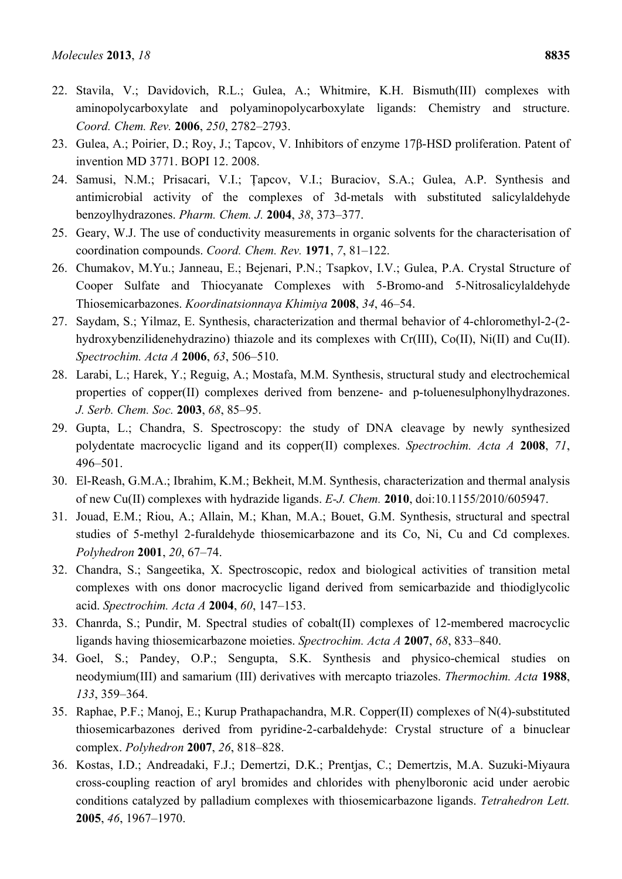- 22. Stavila, V.; Davidovich, R.L.; Gulea, A.; Whitmire, K.H. Bismuth(III) complexes with aminopolycarboxylate and polyaminopolycarboxylate ligands: Chemistry and structure. *Coord. Chem. Rev.* **2006**, *250*, 2782–2793.
- 23. Gulea, A.; Poirier, D.; Roy, J.; Tapcov, V. Inhibitors of enzyme 17β-HSD proliferation. Patent of invention MD 3771. BOPI 12. 2008.
- 24. Samusi, N.M.; Prisacari, V.I.; Ţapcov, V.I.; Buraciov, S.A.; Gulea, A.P. Synthesis and antimicrobial activity of the complexes of 3d-metals with substituted salicylaldehyde benzoylhydrazones. *Pharm. Chem. J.* **2004**, *38*, 373–377.
- 25. Geary, W.J. The use of conductivity measurements in organic solvents for the characterisation of coordination compounds. *Coord. Chem. Rev.* **1971**, *7*, 81–122.
- 26. Chumakov, M.Yu.; Janneau, E.; Bejenari, P.N.; Tsapkov, I.V.; Gulea, P.A. Crystal Structure of Cooper Sulfate and Thiocyanate Complexes with 5-Bromo-and 5-Nitrosalicylaldehyde Thiosemicarbazones. *Koordinatsionnaya Khimiya* **2008**, *34*, 46–54.
- 27. Saydam, S.; Yilmaz, E. Synthesis, characterization and thermal behavior of 4-chloromethyl-2-(2 hydroxybenzilidenehydrazino) thiazole and its complexes with Cr(III), Co(II), Ni(II) and Cu(II). *Spectrochim. Acta A* **2006**, *63*, 506–510.
- 28. Larabi, L.; Harek, Y.; Reguig, A.; Mostafa, M.M. Synthesis, structural study and electrochemical properties of copper(II) complexes derived from benzene- and p-toluenesulphonylhydrazones. *J. Serb. Chem. Soc.* **2003**, *68*, 85–95.
- 29. Gupta, L.; Chandra, S. Spectroscopy: the study of DNA cleavage by newly synthesized polydentate macrocyclic ligand and its copper(II) complexes. *Spectrochim. Acta A* **2008**, *71*, 496–501.
- 30. El-Reash, G.M.A.; Ibrahim, K.M.; Bekheit, M.M. Synthesis, characterization and thermal analysis of new Cu(II) complexes with hydrazide ligands. *E-J. Chem.* **2010**, doi:10.1155/2010/605947.
- 31. Jouad, E.M.; Riou, A.; Allain, M.; Khan, M.A.; Bouet, G.M. Synthesis, structural and spectral studies of 5-methyl 2-furaldehyde thiosemicarbazone and its Co, Ni, Cu and Cd complexes. *Polyhedron* **2001**, *20*, 67–74.
- 32. Chandra, S.; Sangeetika, X. Spectroscopic, redox and biological activities of transition metal complexes with ons donor macrocyclic ligand derived from semicarbazide and thiodiglycolic acid. *Spectrochim. Acta A* **2004**, *60*, 147–153.
- 33. Chanrda, S.; Pundir, M. Spectral studies of cobalt(II) complexes of 12-membered macrocyclic ligands having thiosemicarbazone moieties. *Spectrochim. Acta A* **2007**, *68*, 833–840.
- 34. Goel, S.; Pandey, O.P.; Sengupta, S.K. Synthesis and physico-chemical studies on neodymium(III) and samarium (III) derivatives with mercapto triazoles. *Thermochim. Acta* **1988**, *133*, 359–364.
- 35. Raphae, P.F.; Manoj, E.; Kurup Prathapachandra, M.R. Copper(II) complexes of N(4)-substituted thiosemicarbazones derived from pyridine-2-carbaldehyde: Crystal structure of a binuclear complex. *Polyhedron* **2007**, *26*, 818–828.
- 36. Kostas, I.D.; Andreadaki, F.J.; Demertzi, D.K.; Prentjas, C.; Demertzis, M.A. Suzuki-Miyaura cross-coupling reaction of aryl bromides and chlorides with phenylboronic acid under aerobic conditions catalyzed by palladium complexes with thiosemicarbazone ligands. *Tetrahedron Lett.* **2005**, *46*, 1967–1970.